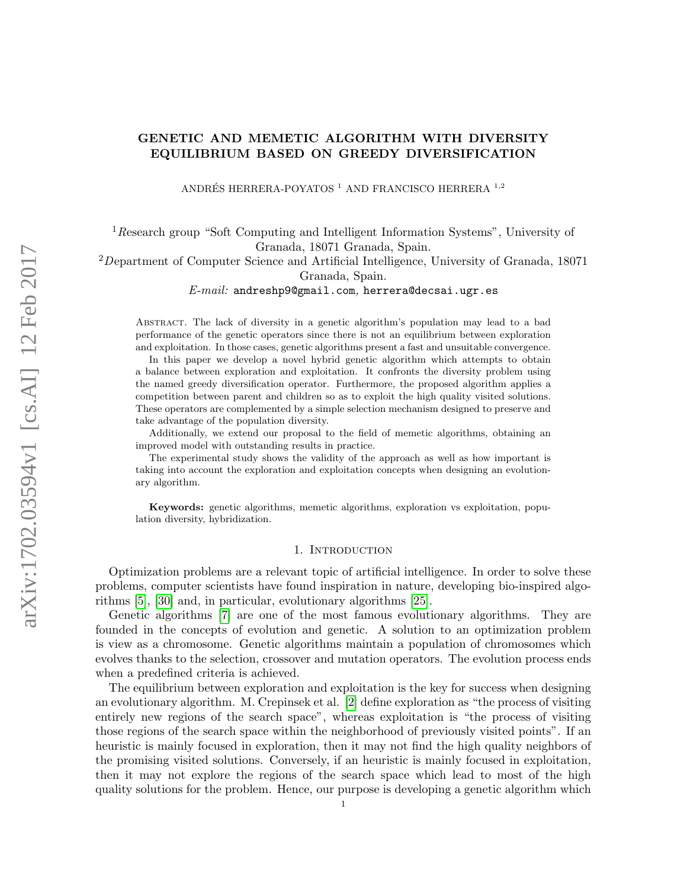ANDRÉS HERRERA-POYATOS $^1$ AND FRANCISCO HERRERA $^{\mathrm{1,2}}$ 

<sup>1</sup> Research group "Soft Computing and Intelligent Information Systems", University of Granada, 18071 Granada, Spain.

 $2D$ epartment of Computer Science and Artificial Intelligence, University of Granada, 18071 Granada, Spain.

E-mail: andreshp9@gmail.com, herrera@decsai.ugr.es

Abstract. The lack of diversity in a genetic algorithm's population may lead to a bad performance of the genetic operators since there is not an equilibrium between exploration and exploitation. In those cases, genetic algorithms present a fast and unsuitable convergence.

In this paper we develop a novel hybrid genetic algorithm which attempts to obtain a balance between exploration and exploitation. It confronts the diversity problem using the named greedy diversification operator. Furthermore, the proposed algorithm applies a competition between parent and children so as to exploit the high quality visited solutions. These operators are complemented by a simple selection mechanism designed to preserve and take advantage of the population diversity.

Additionally, we extend our proposal to the field of memetic algorithms, obtaining an improved model with outstanding results in practice.

The experimental study shows the validity of the approach as well as how important is taking into account the exploration and exploitation concepts when designing an evolutionary algorithm.

Keywords: genetic algorithms, memetic algorithms, exploration vs exploitation, population diversity, hybridization.

### 1. Introduction

Optimization problems are a relevant topic of artificial intelligence. In order to solve these problems, computer scientists have found inspiration in nature, developing bio-inspired algorithms [\[5\]](#page-25-0), [\[30\]](#page-26-0) and, in particular, evolutionary algorithms [\[25\]](#page-26-1).

Genetic algorithms [\[7\]](#page-25-1) are one of the most famous evolutionary algorithms. They are founded in the concepts of evolution and genetic. A solution to an optimization problem is view as a chromosome. Genetic algorithms maintain a population of chromosomes which evolves thanks to the selection, crossover and mutation operators. The evolution process ends when a predefined criteria is achieved.

The equilibrium between exploration and exploitation is the key for success when designing an evolutionary algorithm. M. Crepinsek et al. [\[2\]](#page-25-2) define exploration as "the process of visiting entirely new regions of the search space", whereas exploitation is "the process of visiting those regions of the search space within the neighborhood of previously visited points". If an heuristic is mainly focused in exploration, then it may not find the high quality neighbors of the promising visited solutions. Conversely, if an heuristic is mainly focused in exploitation, then it may not explore the regions of the search space which lead to most of the high quality solutions for the problem. Hence, our purpose is developing a genetic algorithm which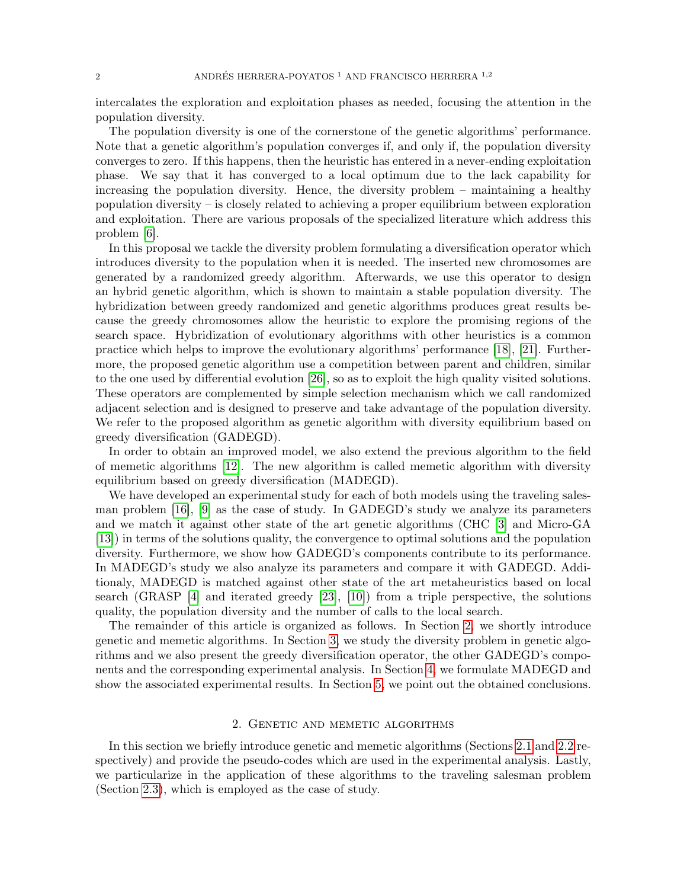intercalates the exploration and exploitation phases as needed, focusing the attention in the population diversity.

The population diversity is one of the cornerstone of the genetic algorithms' performance. Note that a genetic algorithm's population converges if, and only if, the population diversity converges to zero. If this happens, then the heuristic has entered in a never-ending exploitation phase. We say that it has converged to a local optimum due to the lack capability for increasing the population diversity. Hence, the diversity problem – maintaining a healthy population diversity – is closely related to achieving a proper equilibrium between exploration and exploitation. There are various proposals of the specialized literature which address this problem [\[6\]](#page-25-3).

In this proposal we tackle the diversity problem formulating a diversification operator which introduces diversity to the population when it is needed. The inserted new chromosomes are generated by a randomized greedy algorithm. Afterwards, we use this operator to design an hybrid genetic algorithm, which is shown to maintain a stable population diversity. The hybridization between greedy randomized and genetic algorithms produces great results because the greedy chromosomes allow the heuristic to explore the promising regions of the search space. Hybridization of evolutionary algorithms with other heuristics is a common practice which helps to improve the evolutionary algorithms' performance [\[18\]](#page-26-2), [\[21\]](#page-26-3). Furthermore, the proposed genetic algorithm use a competition between parent and children, similar to the one used by differential evolution [\[26\]](#page-26-4), so as to exploit the high quality visited solutions. These operators are complemented by simple selection mechanism which we call randomized adjacent selection and is designed to preserve and take advantage of the population diversity. We refer to the proposed algorithm as genetic algorithm with diversity equilibrium based on greedy diversification (GADEGD).

In order to obtain an improved model, we also extend the previous algorithm to the field of memetic algorithms [\[12\]](#page-25-4). The new algorithm is called memetic algorithm with diversity equilibrium based on greedy diversification (MADEGD).

We have developed an experimental study for each of both models using the traveling salesman problem [\[16\]](#page-26-5), [\[9\]](#page-25-5) as the case of study. In GADEGD's study we analyze its parameters and we match it against other state of the art genetic algorithms (CHC [\[3\]](#page-25-6) and Micro-GA [\[13\]](#page-25-7)) in terms of the solutions quality, the convergence to optimal solutions and the population diversity. Furthermore, we show how GADEGD's components contribute to its performance. In MADEGD's study we also analyze its parameters and compare it with GADEGD. Additionaly, MADEGD is matched against other state of the art metaheuristics based on local search (GRASP [\[4\]](#page-25-8) and iterated greedy [\[23\]](#page-26-6), [\[10\]](#page-25-9)) from a triple perspective, the solutions quality, the population diversity and the number of calls to the local search.

The remainder of this article is organized as follows. In Section [2,](#page-1-0) we shortly introduce genetic and memetic algorithms. In Section [3,](#page-3-0) we study the diversity problem in genetic algorithms and we also present the greedy diversification operator, the other GADEGD's components and the corresponding experimental analysis. In Section [4,](#page-18-0) we formulate MADEGD and show the associated experimental results. In Section [5,](#page-24-0) we point out the obtained conclusions.

## 2. Genetic and memetic algorithms

<span id="page-1-0"></span>In this section we briefly introduce genetic and memetic algorithms (Sections [2.1](#page-2-0) and [2.2](#page-2-1) respectively) and provide the pseudo-codes which are used in the experimental analysis. Lastly, we particularize in the application of these algorithms to the traveling salesman problem (Section [2.3\)](#page-3-1), which is employed as the case of study.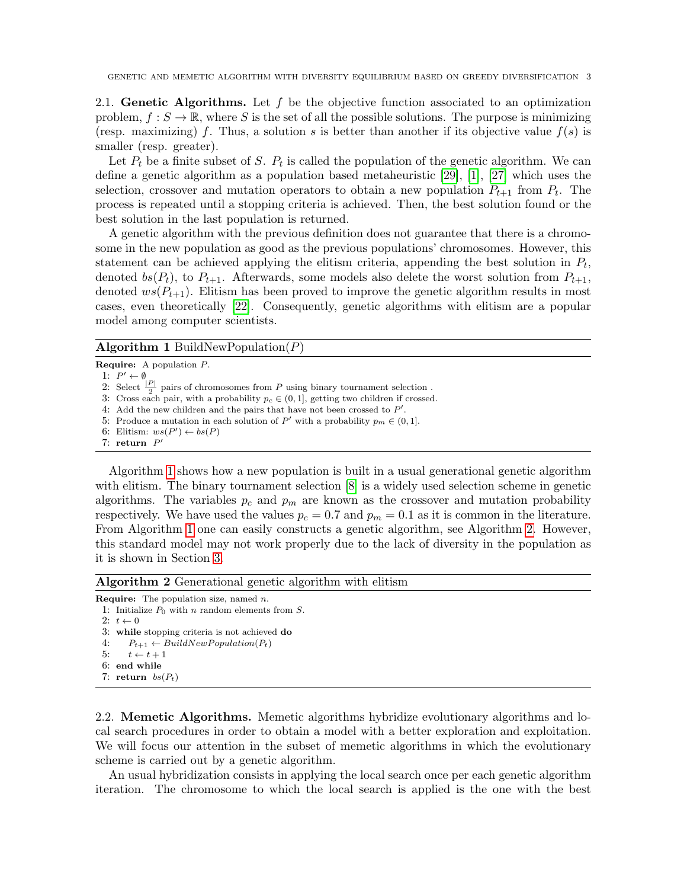<span id="page-2-0"></span>2.1. Genetic Algorithms. Let  $f$  be the objective function associated to an optimization problem,  $f : S \to \mathbb{R}$ , where S is the set of all the possible solutions. The purpose is minimizing (resp. maximizing) f. Thus, a solution s is better than another if its objective value  $f(s)$  is smaller (resp. greater).

Let  $P_t$  be a finite subset of S.  $P_t$  is called the population of the genetic algorithm. We can define a genetic algorithm as a population based metaheuristic [\[29\]](#page-26-7), [\[1\]](#page-25-10), [\[27\]](#page-26-8) which uses the selection, crossover and mutation operators to obtain a new population  $P_{t+1}$  from  $P_t$ . The process is repeated until a stopping criteria is achieved. Then, the best solution found or the best solution in the last population is returned.

A genetic algorithm with the previous definition does not guarantee that there is a chromosome in the new population as good as the previous populations' chromosomes. However, this statement can be achieved applying the elitism criteria, appending the best solution in  $P_t$ , denoted bs( $P_t$ ), to  $P_{t+1}$ . Afterwards, some models also delete the worst solution from  $P_{t+1}$ , denoted  $ws(P_{t+1})$ . Elitism has been proved to improve the genetic algorithm results in most cases, even theoretically [\[22\]](#page-26-9). Consequently, genetic algorithms with elitism are a popular model among computer scientists.

## <span id="page-2-2"></span>**Algorithm 1 BuildNewPopulation** $(P)$

Require: A population P.

1:  $P' \leftarrow \emptyset$ 

2: Select  $\frac{|P|}{2}$  pairs of chromosomes from P using binary tournament selection.

3: Cross each pair, with a probability  $p_c \in (0,1]$ , getting two children if crossed.

4: Add the new children and the pairs that have not been crossed to  $P'$ .

5: Produce a mutation in each solution of P' with a probability  $p_m \in (0,1]$ .

6: Elitism:  $ws(P') \leftarrow bs(P)$ 

7: return  $P'$ 

Algorithm [1](#page-2-2) shows how a new population is built in a usual generational genetic algorithm with elitism. The binary tournament selection  $[8]$  is a widely used selection scheme in genetic algorithms. The variables  $p_c$  and  $p_m$  are known as the crossover and mutation probability respectively. We have used the values  $p_c = 0.7$  and  $p_m = 0.1$  as it is common in the literature. From Algorithm [1](#page-2-2) one can easily constructs a genetic algorithm, see Algorithm [2.](#page-2-3) However, this standard model may not work properly due to the lack of diversity in the population as it is shown in Section [3.](#page-3-0)

<span id="page-2-3"></span>Algorithm 2 Generational genetic algorithm with elitism

```
Require: The population size, named n.
 1: Initialize P_0 with n random elements from S.
 2 \cdot t \leftarrow 03: while stopping criteria is not achieved do
 4: P_{t+1} \leftarrow BuildNewPopulation(P_t)5: t \leftarrow t + 16: end while
 7: return bs(P_t)
```
<span id="page-2-1"></span>2.2. Memetic Algorithms. Memetic algorithms hybridize evolutionary algorithms and local search procedures in order to obtain a model with a better exploration and exploitation. We will focus our attention in the subset of memetic algorithms in which the evolutionary scheme is carried out by a genetic algorithm.

An usual hybridization consists in applying the local search once per each genetic algorithm iteration. The chromosome to which the local search is applied is the one with the best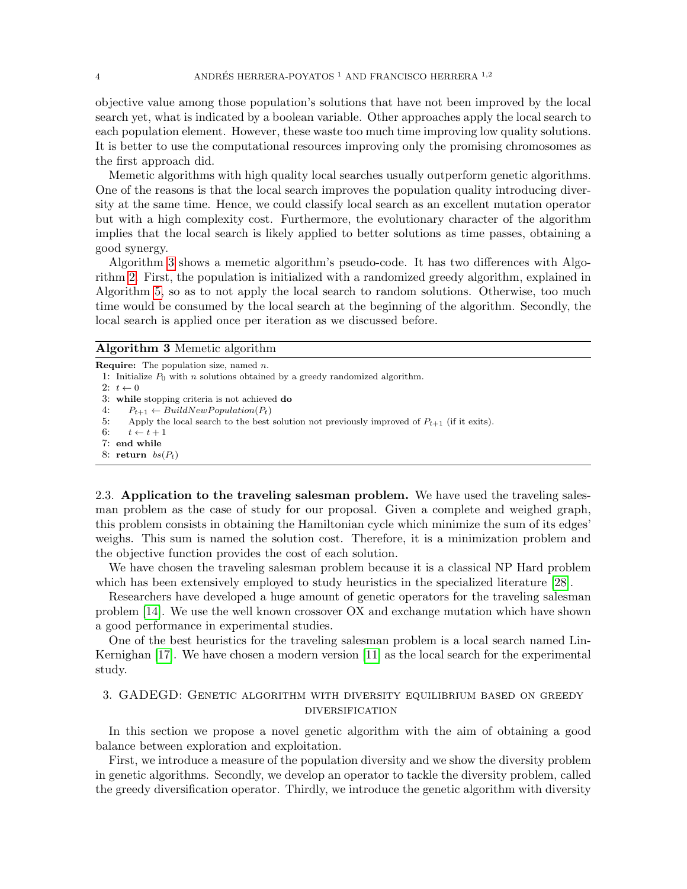objective value among those population's solutions that have not been improved by the local search yet, what is indicated by a boolean variable. Other approaches apply the local search to each population element. However, these waste too much time improving low quality solutions. It is better to use the computational resources improving only the promising chromosomes as the first approach did.

Memetic algorithms with high quality local searches usually outperform genetic algorithms. One of the reasons is that the local search improves the population quality introducing diversity at the same time. Hence, we could classify local search as an excellent mutation operator but with a high complexity cost. Furthermore, the evolutionary character of the algorithm implies that the local search is likely applied to better solutions as time passes, obtaining a good synergy.

Algorithm [3](#page-3-2) shows a memetic algorithm's pseudo-code. It has two differences with Algorithm [2.](#page-2-3) First, the population is initialized with a randomized greedy algorithm, explained in Algorithm [5,](#page-6-0) so as to not apply the local search to random solutions. Otherwise, too much time would be consumed by the local search at the beginning of the algorithm. Secondly, the local search is applied once per iteration as we discussed before.

#### <span id="page-3-2"></span>Algorithm 3 Memetic algorithm

```
Require: The population size, named n.
 1: Initialize P_0 with n solutions obtained by a greedy randomized algorithm.
 2: t \leftarrow 03: while stopping criteria is not achieved do
 4: P_{t+1} \leftarrow BuildNewPopulation(P_t)<br>5: Apply the local search to the best
        Apply the local search to the best solution not previously improved of P_{t+1} (if it exits).
 6: t \leftarrow t + 17: end while
 8: return bs(P_t)
```
<span id="page-3-1"></span>2.3. Application to the traveling salesman problem. We have used the traveling salesman problem as the case of study for our proposal. Given a complete and weighed graph, this problem consists in obtaining the Hamiltonian cycle which minimize the sum of its edges' weighs. This sum is named the solution cost. Therefore, it is a minimization problem and the objective function provides the cost of each solution.

We have chosen the traveling salesman problem because it is a classical NP Hard problem which has been extensively employed to study heuristics in the specialized literature [\[28\]](#page-26-10).

Researchers have developed a huge amount of genetic operators for the traveling salesman problem [\[14\]](#page-25-12). We use the well known crossover OX and exchange mutation which have shown a good performance in experimental studies.

One of the best heuristics for the traveling salesman problem is a local search named Lin-Kernighan [\[17\]](#page-26-11). We have chosen a modern version [\[11\]](#page-25-13) as the local search for the experimental study.

# <span id="page-3-0"></span>3. GADEGD: Genetic algorithm with diversity equilibrium based on greedy diversification

In this section we propose a novel genetic algorithm with the aim of obtaining a good balance between exploration and exploitation.

First, we introduce a measure of the population diversity and we show the diversity problem in genetic algorithms. Secondly, we develop an operator to tackle the diversity problem, called the greedy diversification operator. Thirdly, we introduce the genetic algorithm with diversity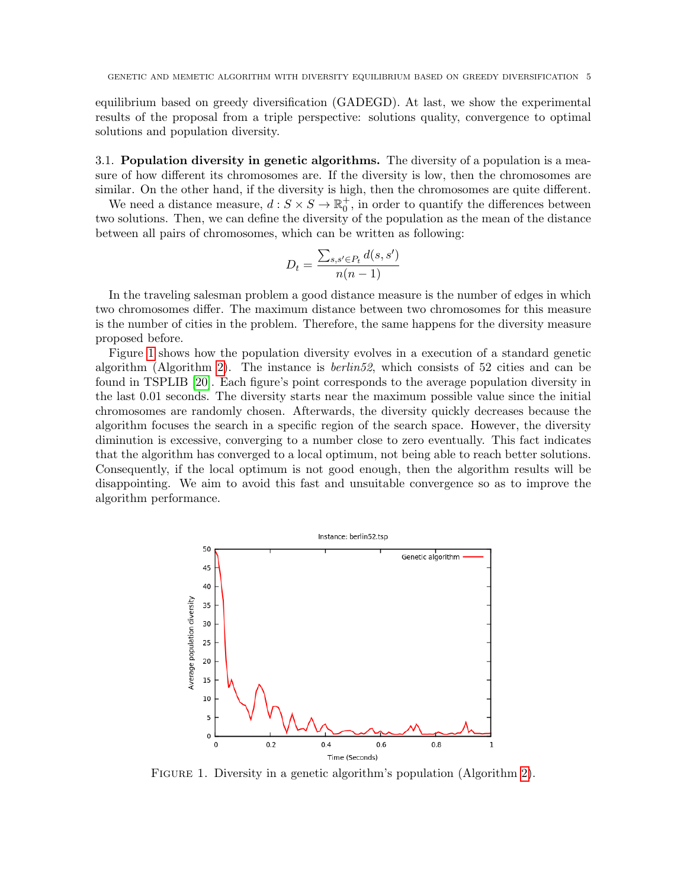equilibrium based on greedy diversification (GADEGD). At last, we show the experimental results of the proposal from a triple perspective: solutions quality, convergence to optimal solutions and population diversity.

3.1. Population diversity in genetic algorithms. The diversity of a population is a measure of how different its chromosomes are. If the diversity is low, then the chromosomes are similar. On the other hand, if the diversity is high, then the chromosomes are quite different.

We need a distance measure,  $d: S \times S \to \mathbb{R}_0^+$ , in order to quantify the differences between two solutions. Then, we can define the diversity of the population as the mean of the distance between all pairs of chromosomes, which can be written as following:

$$
D_t = \frac{\sum_{s,s' \in P_t} d(s,s')}{n(n-1)}
$$

In the traveling salesman problem a good distance measure is the number of edges in which two chromosomes differ. The maximum distance between two chromosomes for this measure is the number of cities in the problem. Therefore, the same happens for the diversity measure proposed before.

Figure [1](#page-4-0) shows how the population diversity evolves in a execution of a standard genetic algorithm (Algorithm [2\)](#page-2-3). The instance is *berlin52*, which consists of 52 cities and can be found in TSPLIB [\[20\]](#page-26-12). Each figure's point corresponds to the average population diversity in the last 0.01 seconds. The diversity starts near the maximum possible value since the initial chromosomes are randomly chosen. Afterwards, the diversity quickly decreases because the algorithm focuses the search in a specific region of the search space. However, the diversity diminution is excessive, converging to a number close to zero eventually. This fact indicates that the algorithm has converged to a local optimum, not being able to reach better solutions. Consequently, if the local optimum is not good enough, then the algorithm results will be disappointing. We aim to avoid this fast and unsuitable convergence so as to improve the algorithm performance.



<span id="page-4-0"></span>FIGURE 1. Diversity in a genetic algorithm's population (Algorithm [2\)](#page-2-3).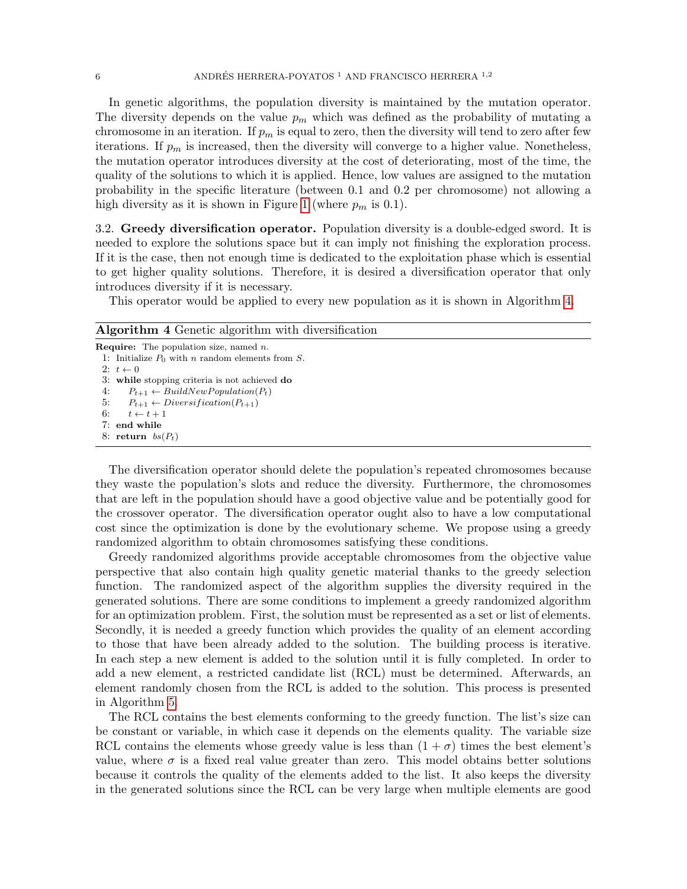In genetic algorithms, the population diversity is maintained by the mutation operator. The diversity depends on the value  $p_m$  which was defined as the probability of mutating a chromosome in an iteration. If  $p_m$  is equal to zero, then the diversity will tend to zero after few iterations. If  $p_m$  is increased, then the diversity will converge to a higher value. Nonetheless, the mutation operator introduces diversity at the cost of deteriorating, most of the time, the quality of the solutions to which it is applied. Hence, low values are assigned to the mutation probability in the specific literature (between 0.1 and 0.2 per chromosome) not allowing a high diversity as it is shown in Figure [1](#page-4-0) (where  $p_m$  is 0.1).

<span id="page-5-1"></span>3.2. Greedy diversification operator. Population diversity is a double-edged sword. It is needed to explore the solutions space but it can imply not finishing the exploration process. If it is the case, then not enough time is dedicated to the exploitation phase which is essential to get higher quality solutions. Therefore, it is desired a diversification operator that only introduces diversity if it is necessary.

This operator would be applied to every new population as it is shown in Algorithm [4.](#page-5-0)

<span id="page-5-0"></span>

| <b>Algorithm 4</b> Genetic algorithm with diversification |  |  |  |  |
|-----------------------------------------------------------|--|--|--|--|
| <b>Require:</b> The population size, named $n$ .          |  |  |  |  |
| 1: Initialize $P_0$ with <i>n</i> random elements from S. |  |  |  |  |
| 2: $t \leftarrow 0$                                       |  |  |  |  |
| 3: while stopping criteria is not achieved do             |  |  |  |  |
| $P_{t+1} \leftarrow BuildNewPopulation(P_t)$<br>4:        |  |  |  |  |
| 5:<br>$P_{t+1} \leftarrow Diversification(P_{t+1})$       |  |  |  |  |
| 6:<br>$t \leftarrow t + 1$                                |  |  |  |  |
| 7: end while                                              |  |  |  |  |
| 8: return $bs(P_t)$                                       |  |  |  |  |
|                                                           |  |  |  |  |

The diversification operator should delete the population's repeated chromosomes because they waste the population's slots and reduce the diversity. Furthermore, the chromosomes that are left in the population should have a good objective value and be potentially good for the crossover operator. The diversification operator ought also to have a low computational cost since the optimization is done by the evolutionary scheme. We propose using a greedy randomized algorithm to obtain chromosomes satisfying these conditions.

Greedy randomized algorithms provide acceptable chromosomes from the objective value perspective that also contain high quality genetic material thanks to the greedy selection function. The randomized aspect of the algorithm supplies the diversity required in the generated solutions. There are some conditions to implement a greedy randomized algorithm for an optimization problem. First, the solution must be represented as a set or list of elements. Secondly, it is needed a greedy function which provides the quality of an element according to those that have been already added to the solution. The building process is iterative. In each step a new element is added to the solution until it is fully completed. In order to add a new element, a restricted candidate list (RCL) must be determined. Afterwards, an element randomly chosen from the RCL is added to the solution. This process is presented in Algorithm [5.](#page-6-0)

The RCL contains the best elements conforming to the greedy function. The list's size can be constant or variable, in which case it depends on the elements quality. The variable size RCL contains the elements whose greedy value is less than  $(1 + \sigma)$  times the best element's value, where  $\sigma$  is a fixed real value greater than zero. This model obtains better solutions because it controls the quality of the elements added to the list. It also keeps the diversity in the generated solutions since the RCL can be very large when multiple elements are good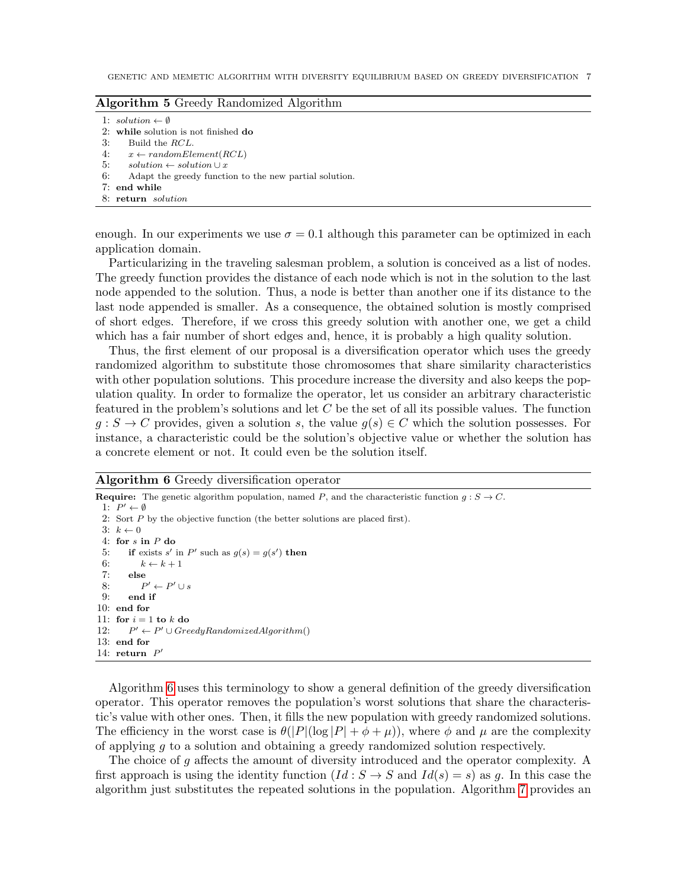<span id="page-6-0"></span>

| Algorithm 5 Greedy Randomized Algorithm |  |  |  |  |  |
|-----------------------------------------|--|--|--|--|--|
|-----------------------------------------|--|--|--|--|--|

1:  $solution \leftarrow \emptyset$ 

2: while solution is not finished do

3: Build the RCL.

- 4:  $x \leftarrow randomElement(RCL)$
- 5:  $solution \leftarrow solution \cup x$
- 6: Adapt the greedy function to the new partial solution.
- 7: end while
- 8: return solution

enough. In our experiments we use  $\sigma = 0.1$  although this parameter can be optimized in each application domain.

Particularizing in the traveling salesman problem, a solution is conceived as a list of nodes. The greedy function provides the distance of each node which is not in the solution to the last node appended to the solution. Thus, a node is better than another one if its distance to the last node appended is smaller. As a consequence, the obtained solution is mostly comprised of short edges. Therefore, if we cross this greedy solution with another one, we get a child which has a fair number of short edges and, hence, it is probably a high quality solution.

Thus, the first element of our proposal is a diversification operator which uses the greedy randomized algorithm to substitute those chromosomes that share similarity characteristics with other population solutions. This procedure increase the diversity and also keeps the population quality. In order to formalize the operator, let us consider an arbitrary characteristic featured in the problem's solutions and let  $C$  be the set of all its possible values. The function  $g: S \to C$  provides, given a solution s, the value  $g(s) \in C$  which the solution possesses. For instance, a characteristic could be the solution's objective value or whether the solution has a concrete element or not. It could even be the solution itself.

<span id="page-6-1"></span>Algorithm 6 Greedy diversification operator

```
Require: The genetic algorithm population, named P, and the characteristic function g : S \to C.
  1: P' \leftarrow \emptyset2: Sort P by the objective function (the better solutions are placed first).
 3: k \leftarrow 04: for s in P do
  5: if exists s' in P' such as g(s) = g(s') then
 6: k \leftarrow k + 17: else
 8:
             \prime \leftarrow P' \cup s9: end if
10: end for
11: for i = 1 to k do
12:\ell' \leftarrow P' \cup GreedyRandomizedAlgorithm()13: end for
14: return P'
```
Algorithm [6](#page-6-1) uses this terminology to show a general definition of the greedy diversification operator. This operator removes the population's worst solutions that share the characteristic's value with other ones. Then, it fills the new population with greedy randomized solutions. The efficiency in the worst case is  $\theta(|P|(\log |P| + \phi + \mu))$ , where  $\phi$  and  $\mu$  are the complexity of applying g to a solution and obtaining a greedy randomized solution respectively.

The choice of g affects the amount of diversity introduced and the operator complexity. A first approach is using the identity function  $(Id : S \to S$  and  $Id(s) = s$  as g. In this case the algorithm just substitutes the repeated solutions in the population. Algorithm [7](#page-7-0) provides an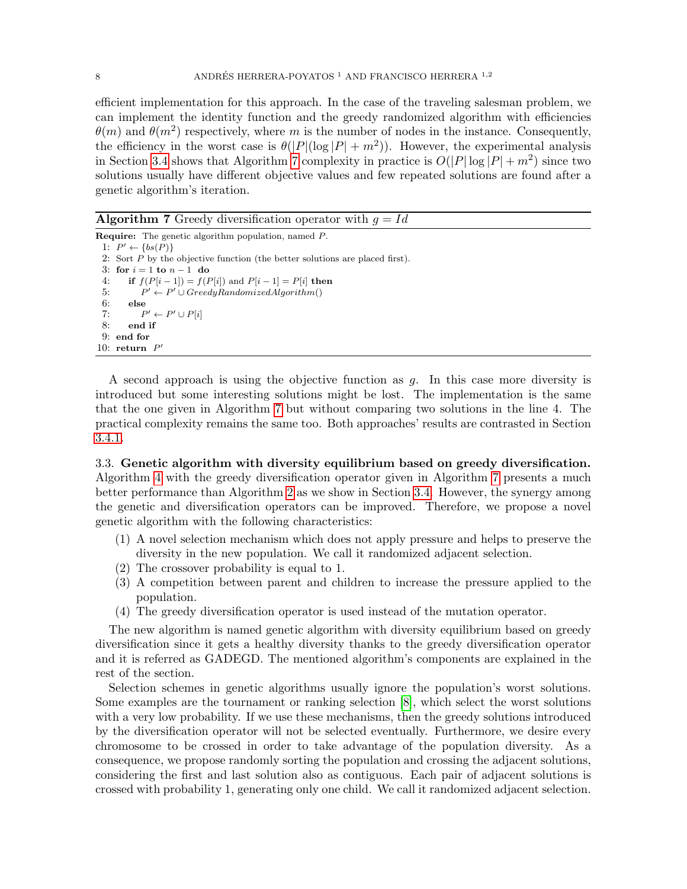efficient implementation for this approach. In the case of the traveling salesman problem, we can implement the identity function and the greedy randomized algorithm with efficiencies  $\theta(m)$  and  $\theta(m^2)$  respectively, where m is the number of nodes in the instance. Consequently, the efficiency in the worst case is  $\theta(|P|(\log |P| + m^2))$ . However, the experimental analysis in Section [3.4](#page-9-0) shows that Algorithm [7](#page-7-0) complexity in practice is  $O(|P|\log |P| + m^2)$  since two solutions usually have different objective values and few repeated solutions are found after a genetic algorithm's iteration.

<span id="page-7-0"></span>**Algorithm 7** Greedy diversification operator with  $q = Id$ Require: The genetic algorithm population, named P. 1:  $P' \leftarrow \{bs(P)\}$ 2: Sort  $P$  by the objective function (the better solutions are placed first). 3: for  $i = 1$  to  $n - 1$  do 4: if  $f(P[i-1]) = f(P[i])$  and  $P[i-1] = P[i]$  then  $5:$  $\ell' \leftarrow P' \cup GreedyRandomizedAlgorithm()$ 6: else  $7:$  $' \leftarrow P' \cup P[i]$ 8: end if 9: end for 10: return  $P'$ 

A second approach is using the objective function as g. In this case more diversity is introduced but some interesting solutions might be lost. The implementation is the same that the one given in Algorithm [7](#page-7-0) but without comparing two solutions in the line 4. The practical complexity remains the same too. Both approaches' results are contrasted in Section [3.4.1.](#page-9-1)

<span id="page-7-1"></span>3.3. Genetic algorithm with diversity equilibrium based on greedy diversification. Algorithm [4](#page-5-0) with the greedy diversification operator given in Algorithm [7](#page-7-0) presents a much better performance than Algorithm [2](#page-2-3) as we show in Section [3.4.](#page-9-0) However, the synergy among the genetic and diversification operators can be improved. Therefore, we propose a novel genetic algorithm with the following characteristics:

- (1) A novel selection mechanism which does not apply pressure and helps to preserve the diversity in the new population. We call it randomized adjacent selection.
- (2) The crossover probability is equal to 1.
- (3) A competition between parent and children to increase the pressure applied to the population.
- (4) The greedy diversification operator is used instead of the mutation operator.

The new algorithm is named genetic algorithm with diversity equilibrium based on greedy diversification since it gets a healthy diversity thanks to the greedy diversification operator and it is referred as GADEGD. The mentioned algorithm's components are explained in the rest of the section.

Selection schemes in genetic algorithms usually ignore the population's worst solutions. Some examples are the tournament or ranking selection [\[8\]](#page-25-11), which select the worst solutions with a very low probability. If we use these mechanisms, then the greedy solutions introduced by the diversification operator will not be selected eventually. Furthermore, we desire every chromosome to be crossed in order to take advantage of the population diversity. As a consequence, we propose randomly sorting the population and crossing the adjacent solutions, considering the first and last solution also as contiguous. Each pair of adjacent solutions is crossed with probability 1, generating only one child. We call it randomized adjacent selection.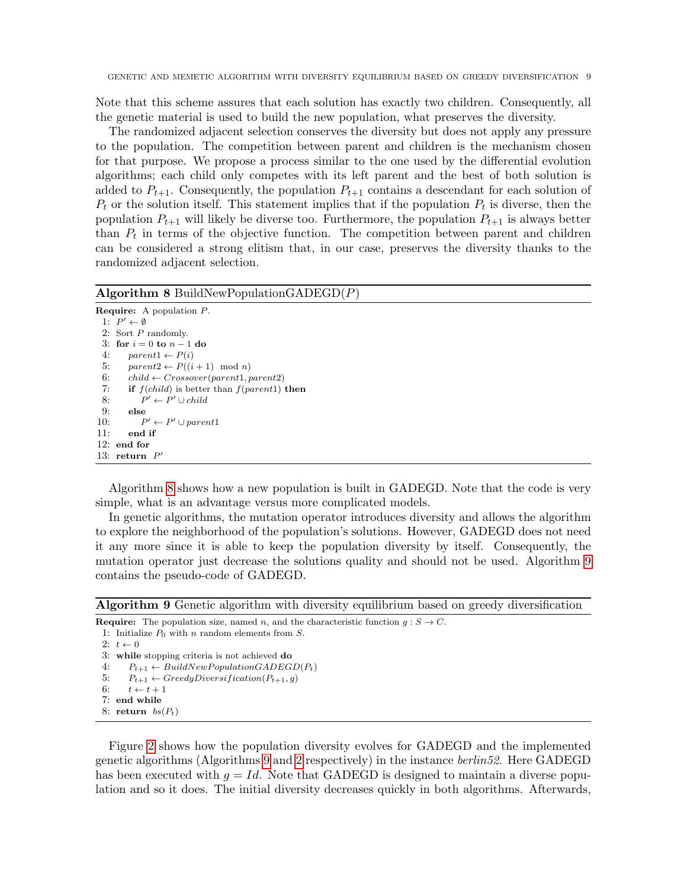Note that this scheme assures that each solution has exactly two children. Consequently, all the genetic material is used to build the new population, what preserves the diversity.

The randomized adjacent selection conserves the diversity but does not apply any pressure to the population. The competition between parent and children is the mechanism chosen for that purpose. We propose a process similar to the one used by the differential evolution algorithms; each child only competes with its left parent and the best of both solution is added to  $P_{t+1}$ . Consequently, the population  $P_{t+1}$  contains a descendant for each solution of  $P_t$  or the solution itself. This statement implies that if the population  $P_t$  is diverse, then the population  $P_{t+1}$  will likely be diverse too. Furthermore, the population  $P_{t+1}$  is always better than  $P_t$  in terms of the objective function. The competition between parent and children can be considered a strong elitism that, in our case, preserves the diversity thanks to the randomized adjacent selection.

#### <span id="page-8-0"></span>Algorithm 8 BuildNewPopulationGADEGD $(P)$

```
Require: A population P.
  1: P' \leftarrow \emptyset2: Sort P randomly.
 3: for i = 0 to n - 1 do
 4: parent1 \leftarrow P(i)5: parent2 \leftarrow P((i+1) \mod n)6: child \leftarrow Crossover(parent1, parent2)7: if f(child) is better than f(parent1) then
 8:
             ' \leftarrow P' \cup child9: else
10:' \leftarrow P' \cup parent111: end if
12: end for
13: return P'
```
Algorithm [8](#page-8-0) shows how a new population is built in GADEGD. Note that the code is very simple, what is an advantage versus more complicated models.

In genetic algorithms, the mutation operator introduces diversity and allows the algorithm to explore the neighborhood of the population's solutions. However, GADEGD does not need it any more since it is able to keep the population diversity by itself. Consequently, the mutation operator just decrease the solutions quality and should not be used. Algorithm [9](#page-8-1) contains the pseudo-code of GADEGD.

<span id="page-8-1"></span>Algorithm 9 Genetic algorithm with diversity equilibrium based on greedy diversification

- **Require:** The population size, named n, and the characteristic function  $g : S \to C$ . 1: Initialize  $P_0$  with n random elements from S.  $2: t \leftarrow 0$ 3: while stopping criteria is not achieved do
- 4:  $P_{t+1} \leftarrow BuildNewPopulationGADEGD(P_t)$
- 5:  $P_{t+1} \leftarrow GreedyDiversification(P_{t+1}, g)$
- 6:  $t \leftarrow t + 1$
- 7: end while
- 8: return  $bs(P_t)$

Figure [2](#page-9-2) shows how the population diversity evolves for GADEGD and the implemented genetic algorithms (Algorithms [9](#page-8-1) and [2](#page-2-3) respectively) in the instance berlin52. Here GADEGD has been executed with  $q = Id$ . Note that GADEGD is designed to maintain a diverse population and so it does. The initial diversity decreases quickly in both algorithms. Afterwards,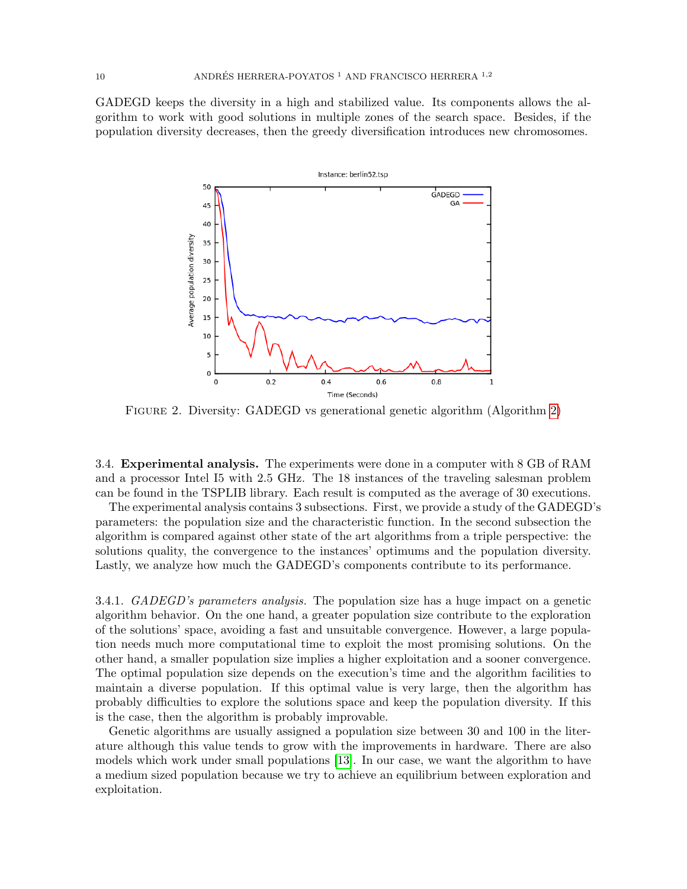GADEGD keeps the diversity in a high and stabilized value. Its components allows the algorithm to work with good solutions in multiple zones of the search space. Besides, if the population diversity decreases, then the greedy diversification introduces new chromosomes.



<span id="page-9-2"></span>Figure 2. Diversity: GADEGD vs generational genetic algorithm (Algorithm [2\)](#page-2-3)

<span id="page-9-0"></span>3.4. Experimental analysis. The experiments were done in a computer with 8 GB of RAM and a processor Intel I5 with 2.5 GHz. The 18 instances of the traveling salesman problem can be found in the TSPLIB library. Each result is computed as the average of 30 executions.

The experimental analysis contains 3 subsections. First, we provide a study of the GADEGD's parameters: the population size and the characteristic function. In the second subsection the algorithm is compared against other state of the art algorithms from a triple perspective: the solutions quality, the convergence to the instances' optimums and the population diversity. Lastly, we analyze how much the GADEGD's components contribute to its performance.

<span id="page-9-1"></span>3.4.1. GADEGD's parameters analysis. The population size has a huge impact on a genetic algorithm behavior. On the one hand, a greater population size contribute to the exploration of the solutions' space, avoiding a fast and unsuitable convergence. However, a large population needs much more computational time to exploit the most promising solutions. On the other hand, a smaller population size implies a higher exploitation and a sooner convergence. The optimal population size depends on the execution's time and the algorithm facilities to maintain a diverse population. If this optimal value is very large, then the algorithm has probably difficulties to explore the solutions space and keep the population diversity. If this is the case, then the algorithm is probably improvable.

Genetic algorithms are usually assigned a population size between 30 and 100 in the literature although this value tends to grow with the improvements in hardware. There are also models which work under small populations [\[13\]](#page-25-7). In our case, we want the algorithm to have a medium sized population because we try to achieve an equilibrium between exploration and exploitation.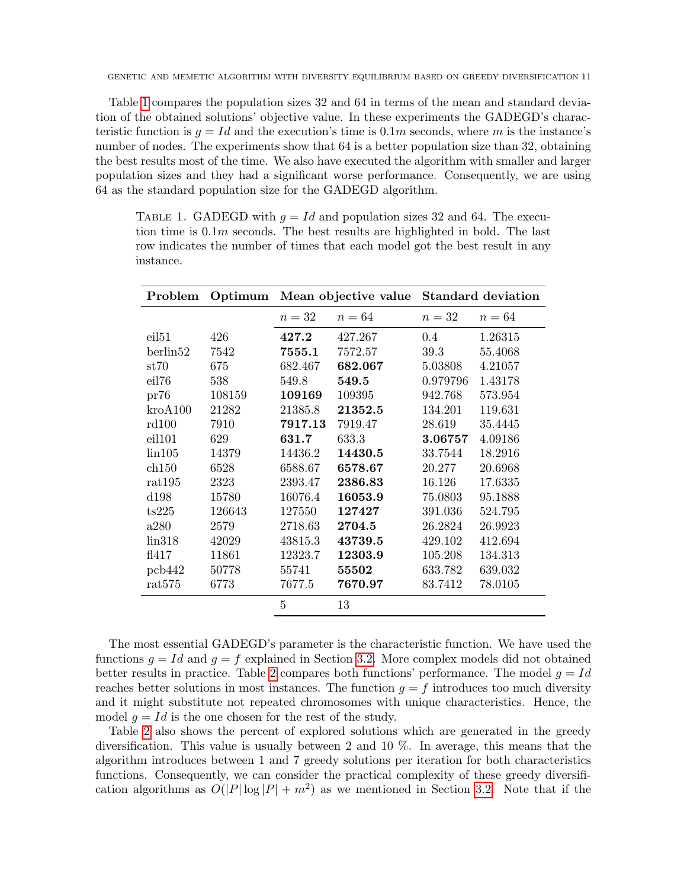Table [1](#page-10-0) compares the population sizes 32 and 64 in terms of the mean and standard deviation of the obtained solutions' objective value. In these experiments the GADEGD's characteristic function is  $g = Id$  and the execution's time is 0.1m seconds, where m is the instance's number of nodes. The experiments show that 64 is a better population size than 32, obtaining the best results most of the time. We also have executed the algorithm with smaller and larger population sizes and they had a significant worse performance. Consequently, we are using 64 as the standard population size for the GADEGD algorithm.

<span id="page-10-0"></span>TABLE 1. GADEGD with  $q = Id$  and population sizes 32 and 64. The execution time is  $0.1m$  seconds. The best results are highlighted in bold. The last row indicates the number of times that each model got the best result in any instance.

| Problem           | Optimum |         | Mean objective value | <b>Standard deviation</b> |         |  |
|-------------------|---------|---------|----------------------|---------------------------|---------|--|
|                   |         | $n=32$  | $n = 64$             | $n=32$                    | $n=64$  |  |
| eil <sub>51</sub> | 426     | 427.2   | 427.267              | 0.4                       | 1.26315 |  |
| berlin52          | 7542    | 7555.1  | 7572.57              | 39.3                      | 55.4068 |  |
| st70              | 675     | 682.467 | 682.067              | 5.03808                   | 4.21057 |  |
| eil76             | 538     | 549.8   | 549.5                | 0.979796                  | 1.43178 |  |
| pr76              | 108159  | 109169  | 109395               | 942.768                   | 573.954 |  |
| kroA100           | 21282   | 21385.8 | 21352.5              | 134.201                   | 119.631 |  |
| rd100             | 7910    | 7917.13 | 7919.47              | 28.619                    | 35.4445 |  |
| eil101            | 629     | 631.7   | 633.3                | 3.06757                   | 4.09186 |  |
| lin105            | 14379   | 14436.2 | 14430.5              | 33.7544                   | 18.2916 |  |
| $\ch{150}$        | 6528    | 6588.67 | 6578.67              | 20.277                    | 20.6968 |  |
| rat195            | 2323    | 2393.47 | 2386.83              | 16.126                    | 17.6335 |  |
| d198              | 15780   | 16076.4 | 16053.9              | 75.0803                   | 95.1888 |  |
| ts225             | 126643  | 127550  | 127427               | 391.036                   | 524.795 |  |
| a280              | 2579    | 2718.63 | 2704.5               | 26.2824                   | 26.9923 |  |
| lin318            | 42029   | 43815.3 | 43739.5              | 429.102                   | 412.694 |  |
| f1417             | 11861   | 12323.7 | 12303.9              | 105.208                   | 134.313 |  |
| pcb442            | 50778   | 55741   | 55502                | 633.782                   | 639.032 |  |
| rat575            | 6773    | 7677.5  | 7670.97              | 83.7412                   | 78.0105 |  |
|                   |         | 5       | 13                   |                           |         |  |
|                   |         |         |                      |                           |         |  |

The most essential GADEGD's parameter is the characteristic function. We have used the functions  $g = Id$  and  $g = f$  explained in Section [3.2.](#page-5-1) More complex models did not obtained better results in practice. Table [2](#page-11-0) compares both functions' performance. The model  $q = Id$ reaches better solutions in most instances. The function  $g = f$  introduces too much diversity and it might substitute not repeated chromosomes with unique characteristics. Hence, the model  $q = Id$  is the one chosen for the rest of the study.

Table [2](#page-11-0) also shows the percent of explored solutions which are generated in the greedy diversification. This value is usually between 2 and 10 %. In average, this means that the algorithm introduces between 1 and 7 greedy solutions per iteration for both characteristics functions. Consequently, we can consider the practical complexity of these greedy diversification algorithms as  $O(|P|\log |P| + m^2)$  as we mentioned in Section [3.2.](#page-5-1) Note that if the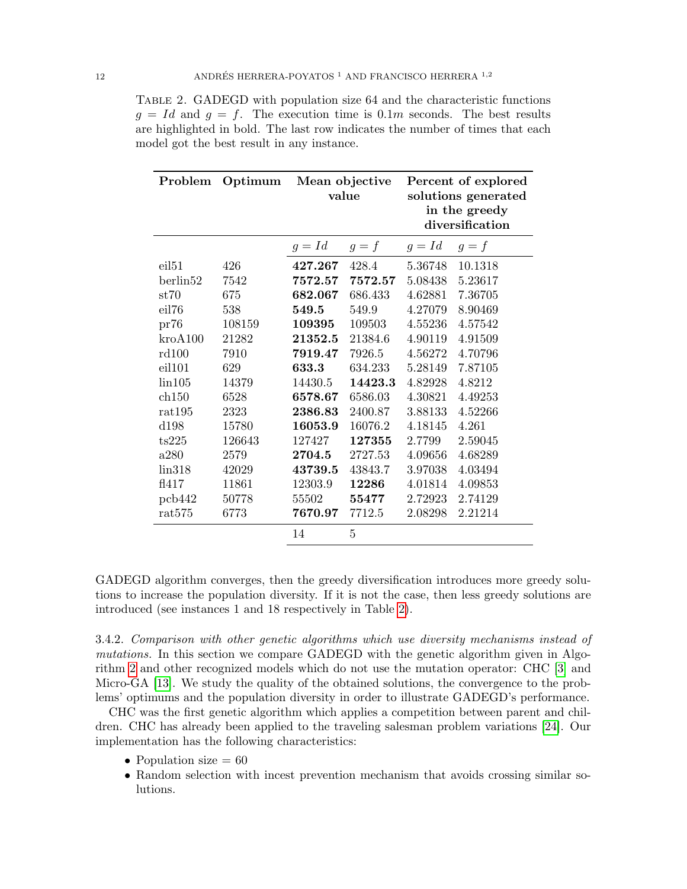<span id="page-11-0"></span>Table 2. GADEGD with population size 64 and the characteristic functions  $g = Id$  and  $g = f$ . The execution time is 0.1m seconds. The best results are highlighted in bold. The last row indicates the number of times that each model got the best result in any instance.

| Problem  | Optimum | Mean objective<br>value |         |          | Percent of explored<br>solutions generated<br>in the greedy |
|----------|---------|-------------------------|---------|----------|-------------------------------------------------------------|
|          |         |                         |         |          | diversification                                             |
|          |         | $g = Id$                | $g = f$ | $g = Id$ | $g = f$                                                     |
| eil51    | 426     | 427.267                 | 428.4   | 5.36748  | 10.1318                                                     |
| berlin52 | 7542    | 7572.57                 | 7572.57 | 5.08438  | 5.23617                                                     |
| st70     | 675     | 682.067                 | 686.433 | 4.62881  | 7.36705                                                     |
| eil76    | 538     | 549.5                   | 549.9   | 4.27079  | 8.90469                                                     |
| pr76     | 108159  | 109395                  | 109503  | 4.55236  | 4.57542                                                     |
| kroA100  | 21282   | 21352.5                 | 21384.6 | 4.90119  | 4.91509                                                     |
| rd100    | 7910    | 7919.47                 | 7926.5  | 4.56272  | 4.70796                                                     |
| eil101   | 629     | 633.3                   | 634.233 | 5.28149  | 7.87105                                                     |
| lin105   | 14379   | 14430.5                 | 14423.3 | 4.82928  | 4.8212                                                      |
| ch150    | 6528    | 6578.67                 | 6586.03 | 4.30821  | 4.49253                                                     |
| rat195   | 2323    | 2386.83                 | 2400.87 | 3.88133  | 4.52266                                                     |
| dl98     | 15780   | 16053.9                 | 16076.2 | 4.18145  | 4.261                                                       |
| ts225    | 126643  | 127427                  | 127355  | 2.7799   | 2.59045                                                     |
| a280     | 2579    | 2704.5                  | 2727.53 | 4.09656  | 4.68289                                                     |
| lin318   | 42029   | 43739.5                 | 43843.7 | 3.97038  | 4.03494                                                     |
| f1417    | 11861   | 12303.9                 | 12286   | 4.01814  | 4.09853                                                     |
| pcb442   | 50778   | 55502                   | 55477   | 2.72923  | 2.74129                                                     |
| rat575   | 6773    | 7670.97                 | 7712.5  | 2.08298  | 2.21214                                                     |
|          |         | 14                      | 5       |          |                                                             |

GADEGD algorithm converges, then the greedy diversification introduces more greedy solutions to increase the population diversity. If it is not the case, then less greedy solutions are introduced (see instances 1 and 18 respectively in Table [2\)](#page-11-0).

<span id="page-11-1"></span>3.4.2. Comparison with other genetic algorithms which use diversity mechanisms instead of mutations. In this section we compare GADEGD with the genetic algorithm given in Algorithm [2](#page-2-3) and other recognized models which do not use the mutation operator: CHC [\[3\]](#page-25-6) and Micro-GA [\[13\]](#page-25-7). We study the quality of the obtained solutions, the convergence to the problems' optimums and the population diversity in order to illustrate GADEGD's performance.

CHC was the first genetic algorithm which applies a competition between parent and children. CHC has already been applied to the traveling salesman problem variations [\[24\]](#page-26-13). Our implementation has the following characteristics:

- Population size  $= 60$
- Random selection with incest prevention mechanism that avoids crossing similar solutions.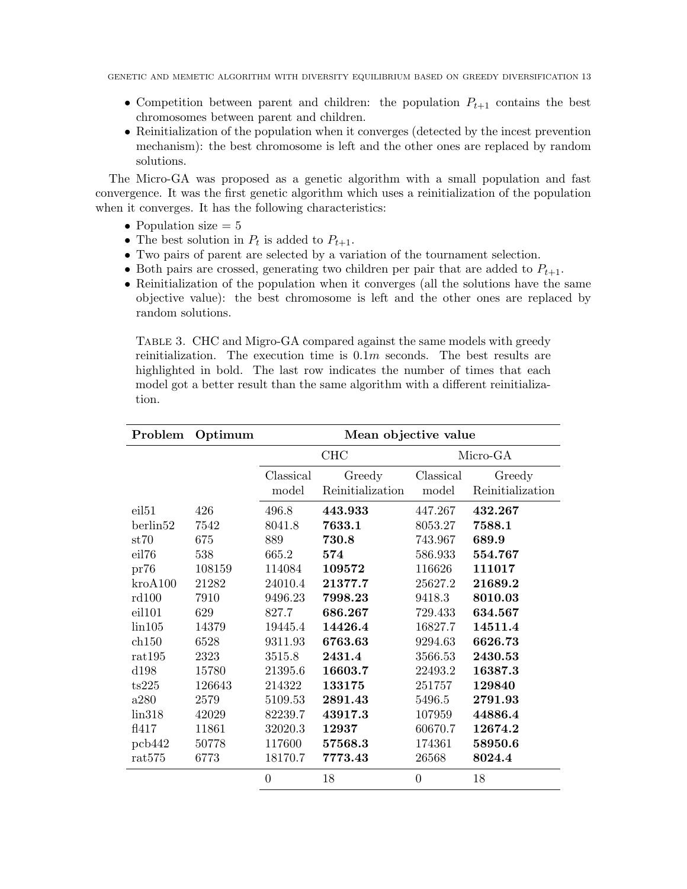- Competition between parent and children: the population  $P_{t+1}$  contains the best chromosomes between parent and children.
- Reinitialization of the population when it converges (detected by the incest prevention mechanism): the best chromosome is left and the other ones are replaced by random solutions.

The Micro-GA was proposed as a genetic algorithm with a small population and fast convergence. It was the first genetic algorithm which uses a reinitialization of the population when it converges. It has the following characteristics:

- Population size  $= 5$
- The best solution in  $P_t$  is added to  $P_{t+1}$ .
- Two pairs of parent are selected by a variation of the tournament selection.
- Both pairs are crossed, generating two children per pair that are added to  $P_{t+1}$ .
- Reinitialization of the population when it converges (all the solutions have the same objective value): the best chromosome is left and the other ones are replaced by random solutions.

<span id="page-12-0"></span>Table 3. CHC and Migro-GA compared against the same models with greedy reinitialization. The execution time is  $0.1m$  seconds. The best results are highlighted in bold. The last row indicates the number of times that each model got a better result than the same algorithm with a different reinitialization.

| Problem           | Optimum | Mean objective value |                  |                |                  |
|-------------------|---------|----------------------|------------------|----------------|------------------|
|                   |         | <b>CHC</b>           |                  |                | Micro-GA         |
|                   |         | Classical            | Greedy           | Classical      | Greedy           |
|                   |         | model                | Reinitialization | model          | Reinitialization |
| eil <sub>51</sub> | 426     | 496.8                | 443.933          | 447.267        | 432.267          |
| berlin52          | 7542    | 8041.8               | 7633.1           | 8053.27        | 7588.1           |
| st70              | 675     | 889                  | 730.8            | 743.967        | 689.9            |
| eil76             | 538     | 665.2                | 574              | 586.933        | 554.767          |
| pr76              | 108159  | 114084               | 109572           | 116626         | 111017           |
| kroA100           | 21282   | 24010.4              | 21377.7          | 25627.2        | 21689.2          |
| rd100             | 7910    | 9496.23              | 7998.23          | 9418.3         | 8010.03          |
| eil101            | 629     | 827.7                | 686.267          | 729.433        | 634.567          |
| lin105            | 14379   | 19445.4              | 14426.4          | 16827.7        | 14511.4          |
| ch150             | 6528    | 9311.93              | 6763.63          | 9294.63        | 6626.73          |
| rat195            | 2323    | 3515.8               | 2431.4           | 3566.53        | 2430.53          |
| d198              | 15780   | 21395.6              | 16603.7          | 22493.2        | 16387.3          |
| ts225             | 126643  | 214322               | 133175           | 251757         | 129840           |
| a280              | 2579    | 5109.53              | 2891.43          | 5496.5         | 2791.93          |
| lin318            | 42029   | 82239.7              | 43917.3          | 107959         | 44886.4          |
| f1417             | 11861   | 32020.3              | 12937            | 60670.7        | 12674.2          |
| pcb442            | 50778   | 117600               | 57568.3          | 174361         | 58950.6          |
| rat575            | 6773    | 18170.7              | 7773.43          | 26568          | 8024.4           |
|                   |         | $\overline{0}$       | 18               | $\overline{0}$ | 18               |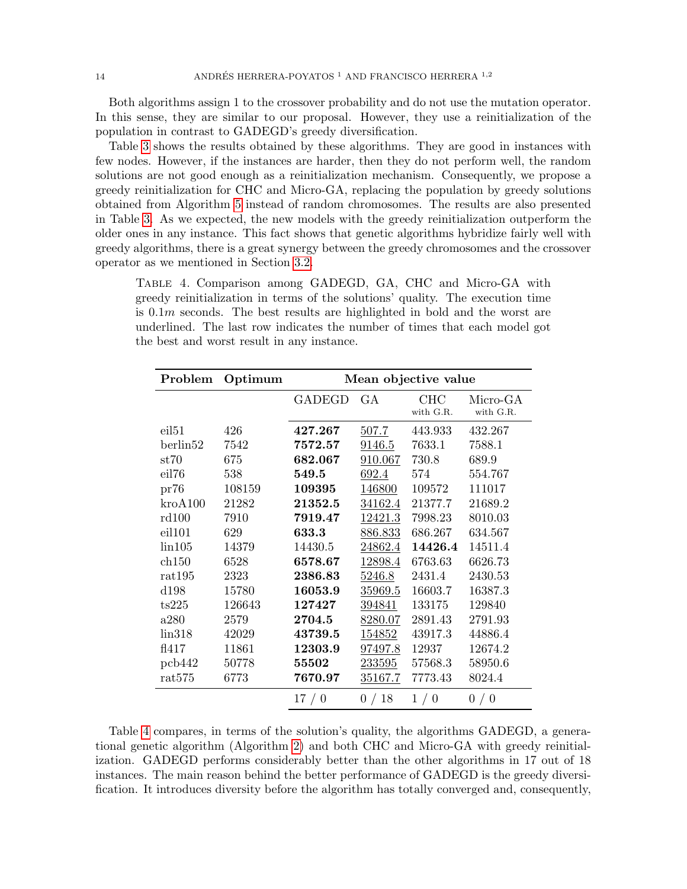Both algorithms assign 1 to the crossover probability and do not use the mutation operator. In this sense, they are similar to our proposal. However, they use a reinitialization of the population in contrast to GADEGD's greedy diversification.

Table [3](#page-12-0) shows the results obtained by these algorithms. They are good in instances with few nodes. However, if the instances are harder, then they do not perform well, the random solutions are not good enough as a reinitialization mechanism. Consequently, we propose a greedy reinitialization for CHC and Micro-GA, replacing the population by greedy solutions obtained from Algorithm [5](#page-6-0) instead of random chromosomes. The results are also presented in Table [3.](#page-12-0) As we expected, the new models with the greedy reinitialization outperform the older ones in any instance. This fact shows that genetic algorithms hybridize fairly well with greedy algorithms, there is a great synergy between the greedy chromosomes and the crossover operator as we mentioned in Section [3.2.](#page-5-1)

<span id="page-13-0"></span>Table 4. Comparison among GADEGD, GA, CHC and Micro-GA with greedy reinitialization in terms of the solutions' quality. The execution time is 0.1m seconds. The best results are highlighted in bold and the worst are underlined. The last row indicates the number of times that each model got the best and worst result in any instance.

| Problem           | Optimum | Mean objective value |         |                  |                       |
|-------------------|---------|----------------------|---------|------------------|-----------------------|
|                   |         | <b>GADEGD</b>        | GA      | CHC<br>with G.R. | Micro-GA<br>with G.R. |
| eil <sub>51</sub> | 426     | 427.267              | 507.7   | 443.933          | 432.267               |
| berlin52          | 7542    | 7572.57              | 9146.5  | 7633.1           | 7588.1                |
| st70              | 675     | 682.067              | 910.067 | 730.8            | 689.9                 |
| eil76             | 538     | 549.5                | 692.4   | 574              | 554.767               |
| pr76              | 108159  | 109395               | 146800  | 109572           | 111017                |
| kroA100           | 21282   | 21352.5              | 34162.4 | 21377.7          | 21689.2               |
| rd100             | 7910    | 7919.47              | 12421.3 | 7998.23          | 8010.03               |
| eil101            | 629     | 633.3                | 886.833 | 686.267          | 634.567               |
| $\lim 105$        | 14379   | 14430.5              | 24862.4 | 14426.4          | 14511.4               |
| ch150             | 6528    | 6578.67              | 12898.4 | 6763.63          | 6626.73               |
| rat195            | 2323    | 2386.83              | 5246.8  | 2431.4           | 2430.53               |
| d198              | 15780   | 16053.9              | 35969.5 | 16603.7          | 16387.3               |
| ts225             | 126643  | 127427               | 394841  | 133175           | 129840                |
| a280              | 2579    | 2704.5               | 8280.07 | 2891.43          | 2791.93               |
| lin318            | 42029   | 43739.5              | 154852  | 43917.3          | 44886.4               |
| f1417             | 11861   | 12303.9              | 97497.8 | 12937            | 12674.2               |
| pcb442            | 50778   | 55502                | 233595  | 57568.3          | 58950.6               |
| rat575            | 6773    | 7670.97              | 35167.7 | 7773.43          | 8024.4                |
|                   |         | 17/0                 | 0/18    | 1/0              | 0/0                   |

Table [4](#page-13-0) compares, in terms of the solution's quality, the algorithms GADEGD, a generational genetic algorithm (Algorithm [2\)](#page-2-3) and both CHC and Micro-GA with greedy reinitialization. GADEGD performs considerably better than the other algorithms in 17 out of 18 instances. The main reason behind the better performance of GADEGD is the greedy diversification. It introduces diversity before the algorithm has totally converged and, consequently,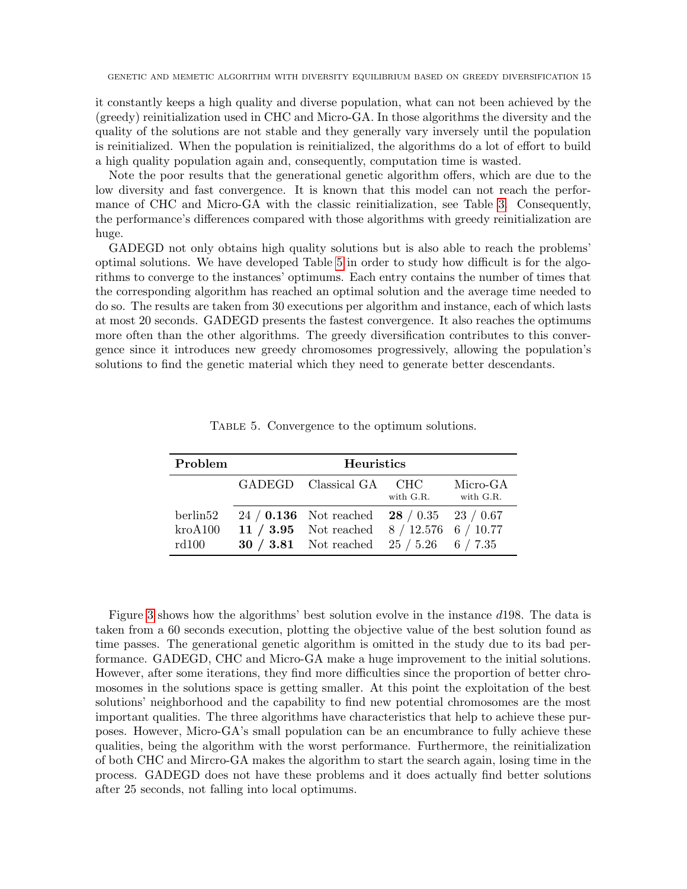it constantly keeps a high quality and diverse population, what can not been achieved by the (greedy) reinitialization used in CHC and Micro-GA. In those algorithms the diversity and the quality of the solutions are not stable and they generally vary inversely until the population is reinitialized. When the population is reinitialized, the algorithms do a lot of effort to build a high quality population again and, consequently, computation time is wasted.

Note the poor results that the generational genetic algorithm offers, which are due to the low diversity and fast convergence. It is known that this model can not reach the performance of CHC and Micro-GA with the classic reinitialization, see Table [3.](#page-12-0) Consequently, the performance's differences compared with those algorithms with greedy reinitialization are huge.

GADEGD not only obtains high quality solutions but is also able to reach the problems' optimal solutions. We have developed Table [5](#page-14-0) in order to study how difficult is for the algorithms to converge to the instances' optimums. Each entry contains the number of times that the corresponding algorithm has reached an optimal solution and the average time needed to do so. The results are taken from 30 executions per algorithm and instance, each of which lasts at most 20 seconds. GADEGD presents the fastest convergence. It also reaches the optimums more often than the other algorithms. The greedy diversification contributes to this convergence since it introduces new greedy chromosomes progressively, allowing the population's solutions to find the genetic material which they need to generate better descendants.

| Problem                      | Heuristics |                                                                                                                                                                         |           |                       |  |  |
|------------------------------|------------|-------------------------------------------------------------------------------------------------------------------------------------------------------------------------|-----------|-----------------------|--|--|
|                              |            | GADEGD Classical GA CHC                                                                                                                                                 | with G.R. | Micro-GA<br>with G.R. |  |  |
| berlin52<br>kroA100<br>rd100 |            | 24 / <b>0.136</b> Not reached <b>28</b> / 0.35 <b>23</b> / 0.67<br>11 / 3.95 Not reached $8/12.576$ 6 / 10.77<br><b>30</b> / <b>3.81</b> Not reached 25 / 5.26 6 / 7.35 |           |                       |  |  |

<span id="page-14-0"></span>Table 5. Convergence to the optimum solutions.

Figure [3](#page-15-0) shows how the algorithms' best solution evolve in the instance d198. The data is taken from a 60 seconds execution, plotting the objective value of the best solution found as time passes. The generational genetic algorithm is omitted in the study due to its bad performance. GADEGD, CHC and Micro-GA make a huge improvement to the initial solutions. However, after some iterations, they find more difficulties since the proportion of better chromosomes in the solutions space is getting smaller. At this point the exploitation of the best solutions' neighborhood and the capability to find new potential chromosomes are the most important qualities. The three algorithms have characteristics that help to achieve these purposes. However, Micro-GA's small population can be an encumbrance to fully achieve these qualities, being the algorithm with the worst performance. Furthermore, the reinitialization of both CHC and Mircro-GA makes the algorithm to start the search again, losing time in the process. GADEGD does not have these problems and it does actually find better solutions after 25 seconds, not falling into local optimums.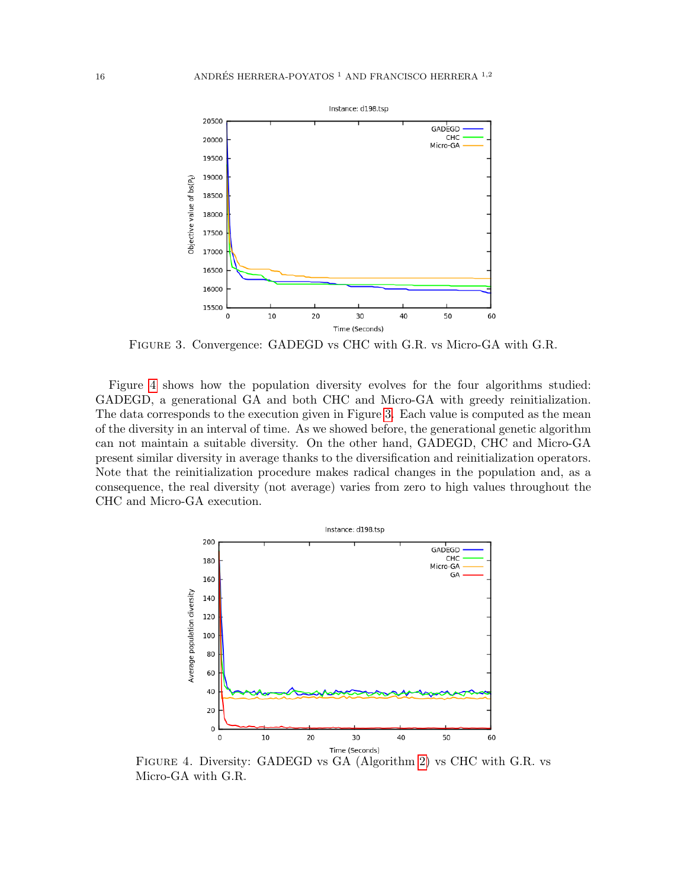

<span id="page-15-0"></span>Figure 3. Convergence: GADEGD vs CHC with G.R. vs Micro-GA with G.R.

Figure [4](#page-15-1) shows how the population diversity evolves for the four algorithms studied: GADEGD, a generational GA and both CHC and Micro-GA with greedy reinitialization. The data corresponds to the execution given in Figure [3.](#page-15-0) Each value is computed as the mean of the diversity in an interval of time. As we showed before, the generational genetic algorithm can not maintain a suitable diversity. On the other hand, GADEGD, CHC and Micro-GA present similar diversity in average thanks to the diversification and reinitialization operators. Note that the reinitialization procedure makes radical changes in the population and, as a consequence, the real diversity (not average) varies from zero to high values throughout the CHC and Micro-GA execution.



<span id="page-15-1"></span>FIGURE 4. Diversity: GADEGD vs GA (Algorithm [2\)](#page-2-3) vs CHC with G.R. vs Micro-GA with G.R.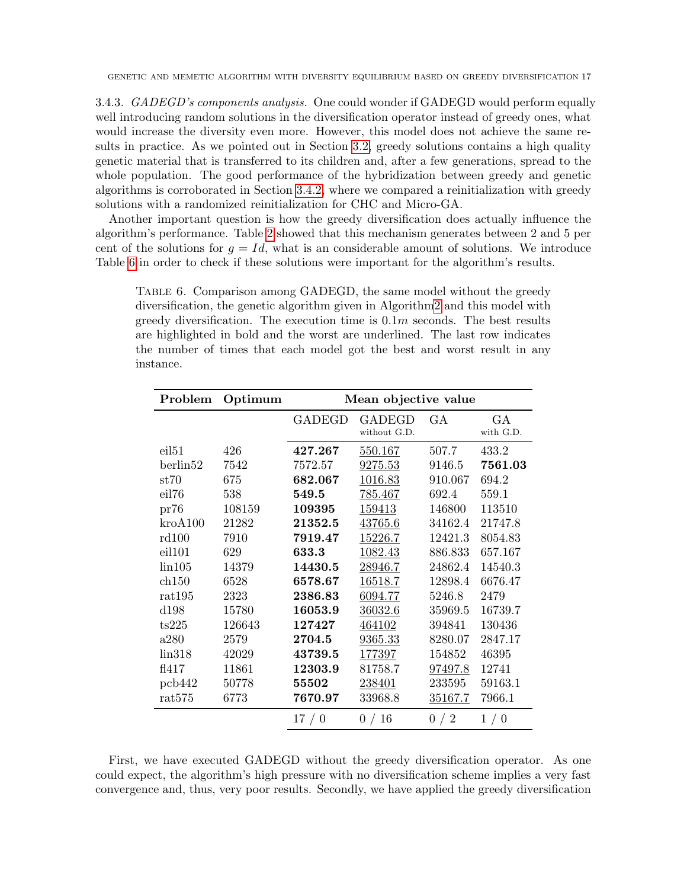3.4.3. GADEGD's components analysis. One could wonder if GADEGD would perform equally well introducing random solutions in the diversification operator instead of greedy ones, what would increase the diversity even more. However, this model does not achieve the same results in practice. As we pointed out in Section [3.2,](#page-5-1) greedy solutions contains a high quality genetic material that is transferred to its children and, after a few generations, spread to the whole population. The good performance of the hybridization between greedy and genetic algorithms is corroborated in Section [3.4.2,](#page-11-1) where we compared a reinitialization with greedy solutions with a randomized reinitialization for CHC and Micro-GA.

Another important question is how the greedy diversification does actually influence the algorithm's performance. Table [2](#page-11-0) showed that this mechanism generates between 2 and 5 per cent of the solutions for  $q = Id$ , what is an considerable amount of solutions. We introduce Table [6](#page-16-0) in order to check if these solutions were important for the algorithm's results.

<span id="page-16-0"></span>Table 6. Comparison among GADEGD, the same model without the greedy diversification, the genetic algorithm given in Algorith[m2](#page-2-3) and this model with greedy diversification. The execution time is  $0.1m$  seconds. The best results are highlighted in bold and the worst are underlined. The last row indicates the number of times that each model got the best and worst result in any instance.

| Problem           | Optimum | Mean objective value |                               |         |                          |  |
|-------------------|---------|----------------------|-------------------------------|---------|--------------------------|--|
|                   |         | <b>GADEGD</b>        | <b>GADEGD</b><br>without G.D. | GA      | <b>GA</b><br>with $G.D.$ |  |
| eil <sub>51</sub> | 426     | 427.267              | 550.167                       | 507.7   | 433.2                    |  |
| berlin52          | 7542    | 7572.57              | 9275.53                       | 9146.5  | 7561.03                  |  |
| st70              | 675     | 682.067              | 1016.83                       | 910.067 | 694.2                    |  |
| eil76             | 538     | 549.5                | 785.467                       | 692.4   | 559.1                    |  |
| pr76              | 108159  | 109395               | 159413                        | 146800  | 113510                   |  |
| kroA100           | 21282   | 21352.5              | 43765.6                       | 34162.4 | 21747.8                  |  |
| rd100             | 7910    | 7919.47              | 15226.7                       | 12421.3 | 8054.83                  |  |
| eil101            | 629     | 633.3                | 1082.43                       | 886.833 | 657.167                  |  |
| $\lim 105$        | 14379   | 14430.5              | 28946.7                       | 24862.4 | 14540.3                  |  |
| ch150             | 6528    | 6578.67              | 16518.7                       | 12898.4 | 6676.47                  |  |
| rat195            | 2323    | 2386.83              | 6094.77                       | 5246.8  | 2479                     |  |
| ${\rm d}198$      | 15780   | 16053.9              | 36032.6                       | 35969.5 | 16739.7                  |  |
| ts225             | 126643  | 127427               | 464102                        | 394841  | 130436                   |  |
| a280              | 2579    | 2704.5               | 9365.33                       | 8280.07 | 2847.17                  |  |
| lin318            | 42029   | 43739.5              | 177397                        | 154852  | 46395                    |  |
| f1417             | 11861   | 12303.9              | 81758.7                       | 97497.8 | 12741                    |  |
| pcb442            | 50778   | 55502                | 238401                        | 233595  | 59163.1                  |  |
| rat575            | 6773    | 7670.97              | 33968.8                       | 35167.7 | 7966.1                   |  |
|                   |         | 17/0                 | 0/16                          | 0/2     | 1/0                      |  |

First, we have executed GADEGD without the greedy diversification operator. As one could expect, the algorithm's high pressure with no diversification scheme implies a very fast convergence and, thus, very poor results. Secondly, we have applied the greedy diversification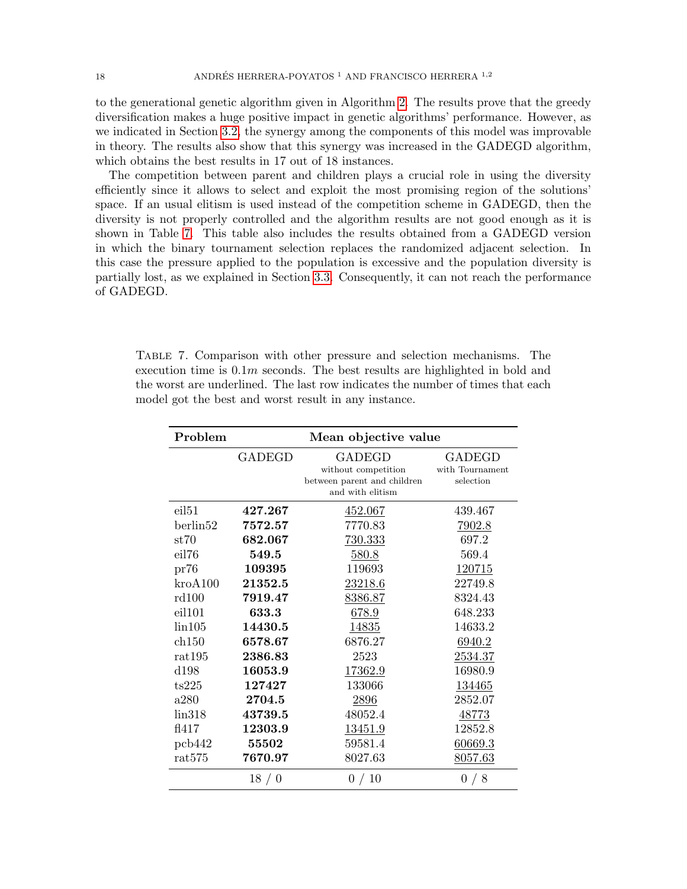to the generational genetic algorithm given in Algorithm [2.](#page-2-3) The results prove that the greedy diversification makes a huge positive impact in genetic algorithms' performance. However, as we indicated in Section [3.2,](#page-5-1) the synergy among the components of this model was improvable in theory. The results also show that this synergy was increased in the GADEGD algorithm, which obtains the best results in 17 out of 18 instances.

The competition between parent and children plays a crucial role in using the diversity efficiently since it allows to select and exploit the most promising region of the solutions' space. If an usual elitism is used instead of the competition scheme in GADEGD, then the diversity is not properly controlled and the algorithm results are not good enough as it is shown in Table [7.](#page-17-0) This table also includes the results obtained from a GADEGD version in which the binary tournament selection replaces the randomized adjacent selection. In this case the pressure applied to the population is excessive and the population diversity is partially lost, as we explained in Section [3.3.](#page-7-1) Consequently, it can not reach the performance of GADEGD.

<span id="page-17-0"></span>

| TABLE 7. Comparison with other pressure and selection mechanisms. The          |  |
|--------------------------------------------------------------------------------|--|
| execution time is $0.1m$ seconds. The best results are highlighted in bold and |  |
| the worst are underlined. The last row indicates the number of times that each |  |
| model got the best and worst result in any instance.                           |  |

| Problem              |         | Mean objective value                                                                    |                                        |
|----------------------|---------|-----------------------------------------------------------------------------------------|----------------------------------------|
|                      | GADEGD  | <b>GADEGD</b><br>without competition<br>between parent and children<br>and with elitism | GADEGD<br>with Tournament<br>selection |
| eil <sub>51</sub>    | 427.267 | 452.067                                                                                 | 439.467                                |
| berlin <sub>52</sub> | 7572.57 | 7770.83                                                                                 | 7902.8                                 |
| st70                 | 682.067 | 730.333                                                                                 | 697.2                                  |
| eil76                | 549.5   | 580.8                                                                                   | 569.4                                  |
| pr76                 | 109395  | 119693                                                                                  | 120715                                 |
| kroA100              | 21352.5 | 23218.6                                                                                 | 22749.8                                |
| rd100                | 7919.47 | 8386.87                                                                                 | 8324.43                                |
| eil101               | 633.3   | 678.9                                                                                   | 648.233                                |
| lin105               | 14430.5 | 14835                                                                                   | 14633.2                                |
| ch150                | 6578.67 | 6876.27                                                                                 | 6940.2                                 |
| rat195               | 2386.83 | 2523                                                                                    | 2534.37                                |
| d198                 | 16053.9 | 17362.9                                                                                 | 16980.9                                |
| ts225                | 127427  | 133066                                                                                  | 134465                                 |
| a280                 | 2704.5  | 2896                                                                                    | 2852.07                                |
| lin318               | 43739.5 | 48052.4                                                                                 | 48773                                  |
| f1417                | 12303.9 | 13451.9                                                                                 | 12852.8                                |
| pcb442               | 55502   | 59581.4                                                                                 | 60669.3                                |
| rat575               | 7670.97 | 8027.63                                                                                 | 8057.63                                |
|                      | 18/0    | 0/10                                                                                    | 0/8                                    |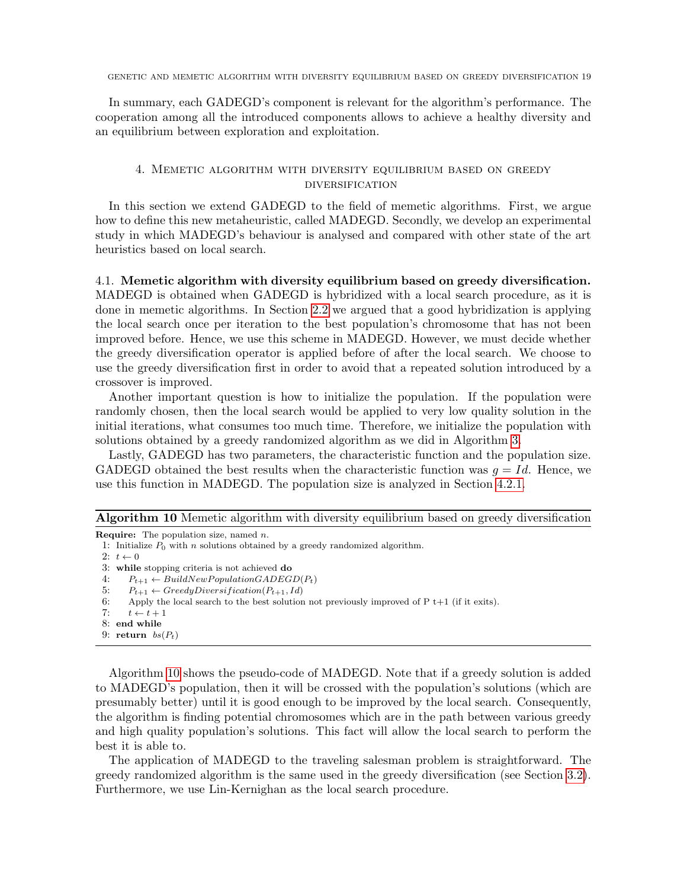In summary, each GADEGD's component is relevant for the algorithm's performance. The cooperation among all the introduced components allows to achieve a healthy diversity and an equilibrium between exploration and exploitation.

## 4. Memetic algorithm with diversity equilibrium based on greedy diversification

<span id="page-18-0"></span>In this section we extend GADEGD to the field of memetic algorithms. First, we argue how to define this new metaheuristic, called MADEGD. Secondly, we develop an experimental study in which MADEGD's behaviour is analysed and compared with other state of the art heuristics based on local search.

4.1. Memetic algorithm with diversity equilibrium based on greedy diversification. MADEGD is obtained when GADEGD is hybridized with a local search procedure, as it is done in memetic algorithms. In Section [2.2](#page-2-1) we argued that a good hybridization is applying the local search once per iteration to the best population's chromosome that has not been improved before. Hence, we use this scheme in MADEGD. However, we must decide whether the greedy diversification operator is applied before of after the local search. We choose to use the greedy diversification first in order to avoid that a repeated solution introduced by a crossover is improved.

Another important question is how to initialize the population. If the population were randomly chosen, then the local search would be applied to very low quality solution in the initial iterations, what consumes too much time. Therefore, we initialize the population with solutions obtained by a greedy randomized algorithm as we did in Algorithm [3.](#page-3-2)

Lastly, GADEGD has two parameters, the characteristic function and the population size. GADEGD obtained the best results when the characteristic function was  $q = Id$ . Hence, we use this function in MADEGD. The population size is analyzed in Section [4.2.1.](#page-19-0)

<span id="page-18-1"></span>Algorithm 10 Memetic algorithm with diversity equilibrium based on greedy diversification

```
Require: The population size, named n.
```
- 1: Initialize  $P_0$  with n solutions obtained by a greedy randomized algorithm.
- 2:  $t \leftarrow 0$

- 4:  $P_{t+1} \leftarrow BuildNewPopulationGADEGD(P_t)$
- 5:  $P_{t+1} \leftarrow GreedyDiversification(P_{t+1}, Id)$
- 6: Apply the local search to the best solution not previously improved of  $P t+1$  (if it exits).
- 7:  $t \leftarrow t + 1$
- 8: end while
- 9: return  $bs(P_t)$

Algorithm [10](#page-18-1) shows the pseudo-code of MADEGD. Note that if a greedy solution is added to MADEGD's population, then it will be crossed with the population's solutions (which are presumably better) until it is good enough to be improved by the local search. Consequently, the algorithm is finding potential chromosomes which are in the path between various greedy and high quality population's solutions. This fact will allow the local search to perform the best it is able to.

The application of MADEGD to the traveling salesman problem is straightforward. The greedy randomized algorithm is the same used in the greedy diversification (see Section [3.2\)](#page-5-1). Furthermore, we use Lin-Kernighan as the local search procedure.

<sup>3:</sup> while stopping criteria is not achieved do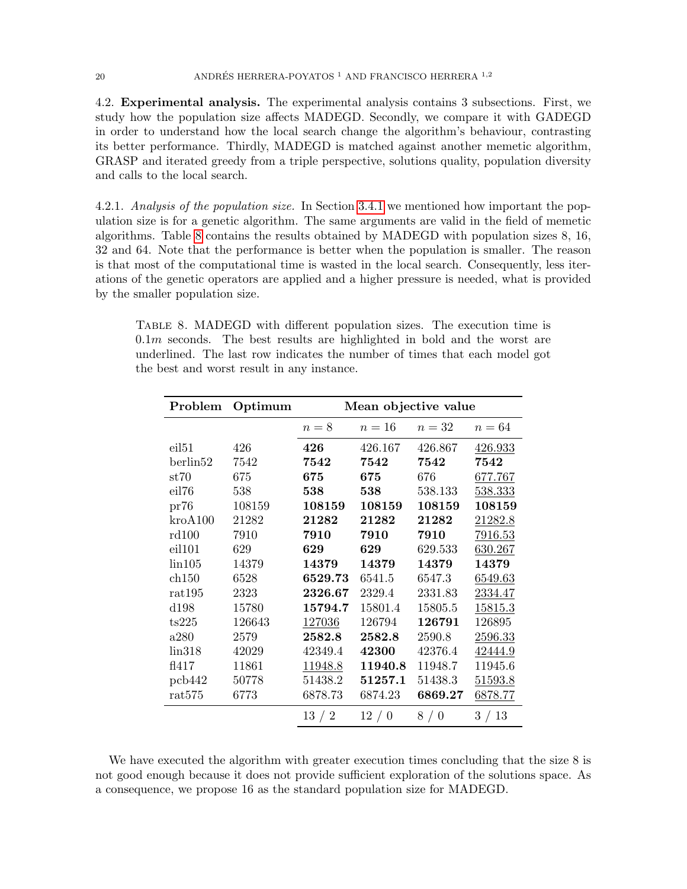4.2. Experimental analysis. The experimental analysis contains 3 subsections. First, we study how the population size affects MADEGD. Secondly, we compare it with GADEGD in order to understand how the local search change the algorithm's behaviour, contrasting its better performance. Thirdly, MADEGD is matched against another memetic algorithm, GRASP and iterated greedy from a triple perspective, solutions quality, population diversity and calls to the local search.

<span id="page-19-0"></span>4.2.1. Analysis of the population size. In Section [3.4.1](#page-9-1) we mentioned how important the population size is for a genetic algorithm. The same arguments are valid in the field of memetic algorithms. Table [8](#page-19-1) contains the results obtained by MADEGD with population sizes 8, 16, 32 and 64. Note that the performance is better when the population is smaller. The reason is that most of the computational time is wasted in the local search. Consequently, less iterations of the genetic operators are applied and a higher pressure is needed, what is provided by the smaller population size.

<span id="page-19-1"></span>Table 8. MADEGD with different population sizes. The execution time is  $0.1m$  seconds. The best results are highlighted in bold and the worst are underlined. The last row indicates the number of times that each model got the best and worst result in any instance.

| Problem           | Optimum | Mean objective value |         |         |         |  |
|-------------------|---------|----------------------|---------|---------|---------|--|
|                   |         | $n=8$                | $n=16$  | $n=32$  | $n=64$  |  |
| eil <sub>51</sub> | 426     | 426                  | 426.167 | 426.867 | 426.933 |  |
| berlin52          | 7542    | 7542                 | 7542    | 7542    | 7542    |  |
| st70              | 675     | 675                  | 675     | 676     | 677.767 |  |
| eil76             | 538     | 538                  | 538     | 538.133 | 538.333 |  |
| pr76              | 108159  | 108159               | 108159  | 108159  | 108159  |  |
| $k$ ro $A$ 100    | 21282   | 21282                | 21282   | 21282   | 21282.8 |  |
| rd100             | 7910    | 7910                 | 7910    | 7910    | 7916.53 |  |
| eil101            | 629     | 629                  | 629     | 629.533 | 630.267 |  |
| $\lim 105$        | 14379   | 14379                | 14379   | 14379   | 14379   |  |
| ch150             | 6528    | 6529.73              | 6541.5  | 6547.3  | 6549.63 |  |
| rat195            | 2323    | 2326.67              | 2329.4  | 2331.83 | 2334.47 |  |
| d198              | 15780   | 15794.7              | 15801.4 | 15805.5 | 15815.3 |  |
| ts225             | 126643  | 127036               | 126794  | 126791  | 126895  |  |
| a280              | 2579    | 2582.8               | 2582.8  | 2590.8  | 2596.33 |  |
| lin318            | 42029   | 42349.4              | 42300   | 42376.4 | 42444.9 |  |
| f1417             | 11861   | 11948.8              | 11940.8 | 11948.7 | 11945.6 |  |
| pcb442            | 50778   | 51438.2              | 51257.1 | 51438.3 | 51593.8 |  |
| rat575            | 6773    | 6878.73              | 6874.23 | 6869.27 | 6878.77 |  |
|                   |         | 13/2                 | 12/0    | 8/0     | 3/13    |  |

We have executed the algorithm with greater execution times concluding that the size 8 is not good enough because it does not provide sufficient exploration of the solutions space. As a consequence, we propose 16 as the standard population size for MADEGD.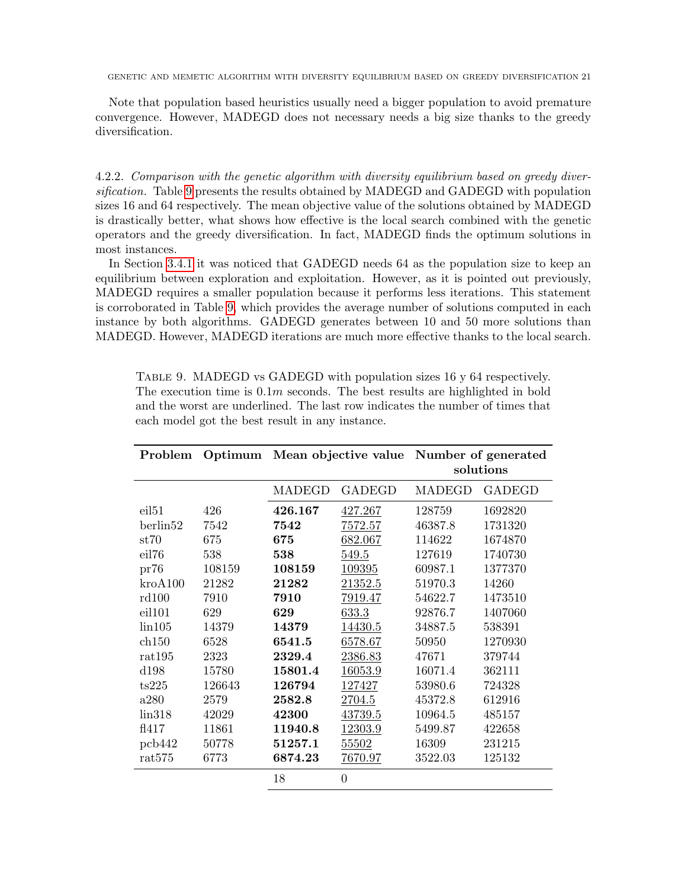Note that population based heuristics usually need a bigger population to avoid premature convergence. However, MADEGD does not necessary needs a big size thanks to the greedy diversification.

4.2.2. Comparison with the genetic algorithm with diversity equilibrium based on greedy diversification. Table [9](#page-20-0) presents the results obtained by MADEGD and GADEGD with population sizes 16 and 64 respectively. The mean objective value of the solutions obtained by MADEGD is drastically better, what shows how effective is the local search combined with the genetic operators and the greedy diversification. In fact, MADEGD finds the optimum solutions in most instances.

In Section [3.4.1](#page-9-1) it was noticed that GADEGD needs 64 as the population size to keep an equilibrium between exploration and exploitation. However, as it is pointed out previously, MADEGD requires a smaller population because it performs less iterations. This statement is corroborated in Table [9,](#page-20-0) which provides the average number of solutions computed in each instance by both algorithms. GADEGD generates between 10 and 50 more solutions than MADEGD. However, MADEGD iterations are much more effective thanks to the local search.

| Problem           | Optimum | Mean objective value Number of generated |                | solutions |               |  |
|-------------------|---------|------------------------------------------|----------------|-----------|---------------|--|
|                   |         | MADEGD                                   | <b>GADEGD</b>  | MADEGD    | <b>GADEGD</b> |  |
| eil <sub>51</sub> | 426     | 426.167                                  | 427.267        | 128759    | 1692820       |  |
| berlin52          | 7542    | 7542                                     | 7572.57        | 46387.8   | 1731320       |  |
| $\mathrm{st}70$   | 675     | 675                                      | 682.067        | 114622    | 1674870       |  |
| eil76             | 538     | 538                                      | 549.5          | 127619    | 1740730       |  |
| pr76              | 108159  | 108159                                   | 109395         | 60987.1   | 1377370       |  |
| kroA100           | 21282   | 21282                                    | 21352.5        | 51970.3   | 14260         |  |
| rd100             | 7910    | 7910                                     | 7919.47        | 54622.7   | 1473510       |  |
| eil101            | 629     | 629                                      | 633.3          | 92876.7   | 1407060       |  |
| $\rm{lin}105$     | 14379   | 14379                                    | 14430.5        | 34887.5   | 538391        |  |
| ch150             | 6528    | 6541.5                                   | 6578.67        | 50950     | 1270930       |  |
| rat195            | 2323    | 2329.4                                   | 2386.83        | 47671     | 379744        |  |
| d198              | 15780   | 15801.4                                  | 16053.9        | 16071.4   | 362111        |  |
| ts225             | 126643  | 126794                                   | 127427         | 53980.6   | 724328        |  |
| a280              | 2579    | 2582.8                                   | 2704.5         | 45372.8   | 612916        |  |
| lin318            | 42029   | 42300                                    | 43739.5        | 10964.5   | 485157        |  |
| f1417             | 11861   | 11940.8                                  | 12303.9        | 5499.87   | 422658        |  |
| pcb442            | 50778   | 51257.1                                  | 55502          | 16309     | 231215        |  |
| rat575            | 6773    | 6874.23                                  | 7670.97        | 3522.03   | 125132        |  |
|                   |         | 18                                       | $\overline{0}$ |           |               |  |

<span id="page-20-0"></span>Table 9. MADEGD vs GADEGD with population sizes 16 y 64 respectively. The execution time is  $0.1m$  seconds. The best results are highlighted in bold and the worst are underlined. The last row indicates the number of times that each model got the best result in any instance.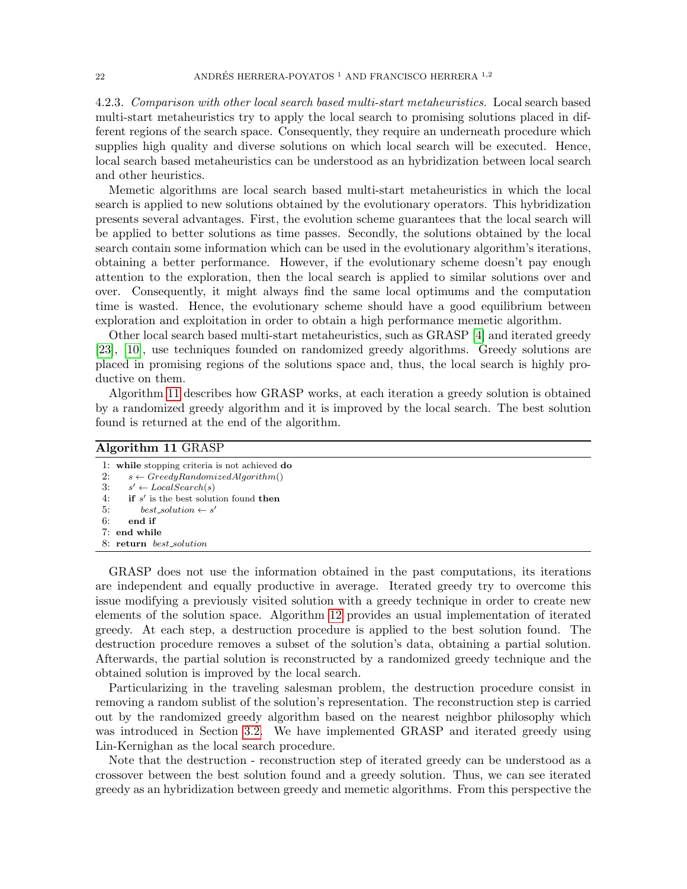4.2.3. Comparison with other local search based multi-start metaheuristics. Local search based multi-start metaheuristics try to apply the local search to promising solutions placed in different regions of the search space. Consequently, they require an underneath procedure which supplies high quality and diverse solutions on which local search will be executed. Hence, local search based metaheuristics can be understood as an hybridization between local search and other heuristics.

Memetic algorithms are local search based multi-start metaheuristics in which the local search is applied to new solutions obtained by the evolutionary operators. This hybridization presents several advantages. First, the evolution scheme guarantees that the local search will be applied to better solutions as time passes. Secondly, the solutions obtained by the local search contain some information which can be used in the evolutionary algorithm's iterations, obtaining a better performance. However, if the evolutionary scheme doesn't pay enough attention to the exploration, then the local search is applied to similar solutions over and over. Consequently, it might always find the same local optimums and the computation time is wasted. Hence, the evolutionary scheme should have a good equilibrium between exploration and exploitation in order to obtain a high performance memetic algorithm.

Other local search based multi-start metaheuristics, such as GRASP [\[4\]](#page-25-8) and iterated greedy [\[23\]](#page-26-6), [\[10\]](#page-25-9), use techniques founded on randomized greedy algorithms. Greedy solutions are placed in promising regions of the solutions space and, thus, the local search is highly productive on them.

Algorithm [11](#page-21-0) describes how GRASP works, at each iteration a greedy solution is obtained by a randomized greedy algorithm and it is improved by the local search. The best solution found is returned at the end of the algorithm.

<span id="page-21-0"></span>

| Algorithm 11 GRASP |                                               |  |  |  |  |
|--------------------|-----------------------------------------------|--|--|--|--|
|                    | 1: while stopping criteria is not achieved do |  |  |  |  |
| 2:                 | $s \leftarrow GreedyRandomizedAlgorithm()$    |  |  |  |  |
| 3:                 | $s' \leftarrow LocalSearch(s)$                |  |  |  |  |
| 4:                 | if $s'$ is the best solution found then       |  |  |  |  |
| 5:                 | $best\_solution \leftarrow s'$                |  |  |  |  |
| 6:                 | end if                                        |  |  |  |  |
|                    | 7: end while                                  |  |  |  |  |
|                    | 8: return best_solution                       |  |  |  |  |

GRASP does not use the information obtained in the past computations, its iterations are independent and equally productive in average. Iterated greedy try to overcome this issue modifying a previously visited solution with a greedy technique in order to create new elements of the solution space. Algorithm [12](#page-22-0) provides an usual implementation of iterated greedy. At each step, a destruction procedure is applied to the best solution found. The destruction procedure removes a subset of the solution's data, obtaining a partial solution. Afterwards, the partial solution is reconstructed by a randomized greedy technique and the obtained solution is improved by the local search.

Particularizing in the traveling salesman problem, the destruction procedure consist in removing a random sublist of the solution's representation. The reconstruction step is carried out by the randomized greedy algorithm based on the nearest neighbor philosophy which was introduced in Section [3.2.](#page-5-1) We have implemented GRASP and iterated greedy using Lin-Kernighan as the local search procedure.

Note that the destruction - reconstruction step of iterated greedy can be understood as a crossover between the best solution found and a greedy solution. Thus, we can see iterated greedy as an hybridization between greedy and memetic algorithms. From this perspective the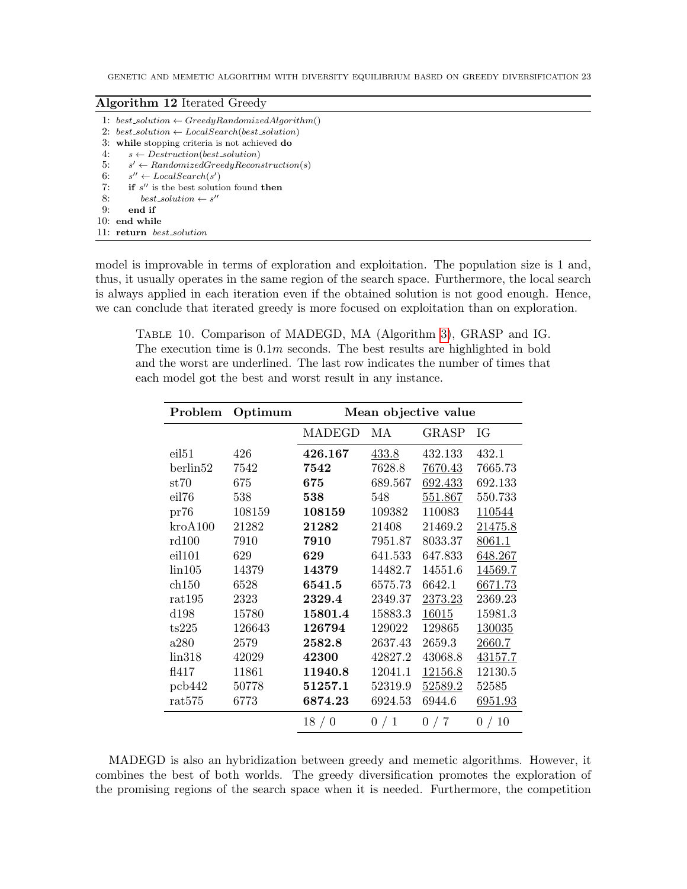### <span id="page-22-0"></span>Algorithm 12 Iterated Greedy

|    | 1: best_solution $\leftarrow GreedyRandomizedAlgorithm()$ |
|----|-----------------------------------------------------------|
|    | 2: best_solution $\leftarrow LocalSearch(best\_solution)$ |
|    | 3: while stopping criteria is not achieved do             |
| 4: | $s \leftarrow$ Destruction(best_solution)                 |
| 5: | $s' \leftarrow RandomizedGreedy Reconstruction(s)$        |
| 6: | $s'' \leftarrow LocalSearch(s')$                          |
| 7: | if $s''$ is the best solution found then                  |
| 8: | $best\_solution \leftarrow s''$                           |
| 9: | end if                                                    |
|    | $10:$ end while                                           |
|    | 11: return best_solution                                  |

model is improvable in terms of exploration and exploitation. The population size is 1 and, thus, it usually operates in the same region of the search space. Furthermore, the local search is always applied in each iteration even if the obtained solution is not good enough. Hence, we can conclude that iterated greedy is more focused on exploitation than on exploration.

<span id="page-22-1"></span>Table 10. Comparison of MADEGD, MA (Algorithm [3\)](#page-3-2), GRASP and IG. The execution time is  $0.1m$  seconds. The best results are highlighted in bold and the worst are underlined. The last row indicates the number of times that each model got the best and worst result in any instance.

| Problem           | Optimum | Mean objective value |         |              |          |  |  |
|-------------------|---------|----------------------|---------|--------------|----------|--|--|
|                   |         | MADEGD               | MA      | <b>GRASP</b> | IG       |  |  |
| eil <sub>51</sub> | 426     | 426.167              | 433.8   | 432.133      | 432.1    |  |  |
| berlin52          | 7542    | 7542                 | 7628.8  | 7670.43      | 7665.73  |  |  |
| $\mathrm{st}70$   | 675     | 675                  | 689.567 | 692.433      | 692.133  |  |  |
| eil76             | 538     | 538                  | 548     | 551.867      | 550.733  |  |  |
| pr76              | 108159  | 108159               | 109382  | 110083       | 110544   |  |  |
| kroA100           | 21282   | 21282                | 21408   | 21469.2      | 21475.8  |  |  |
| rd100             | 7910    | 7910                 | 7951.87 | 8033.37      | 8061.1   |  |  |
| eil101            | 629     | 629                  | 641.533 | 647.833      | 648.267  |  |  |
| $\rm{lin}105$     | 14379   | 14379                | 14482.7 | 14551.6      | 14569.7  |  |  |
| ch150             | 6528    | 6541.5               | 6575.73 | 6642.1       | 6671.73  |  |  |
| rat195            | 2323    | 2329.4               | 2349.37 | 2373.23      | 2369.23  |  |  |
| d198              | 15780   | 15801.4              | 15883.3 | 16015        | 15981.3  |  |  |
| ts225             | 126643  | 126794               | 129022  | 129865       | 130035   |  |  |
| a280              | 2579    | 2582.8               | 2637.43 | 2659.3       | 2660.7   |  |  |
| lin318            | 42029   | 42300                | 42827.2 | 43068.8      | 43157.7  |  |  |
| f1417             | 11861   | 11940.8              | 12041.1 | 12156.8      | 12130.5  |  |  |
| pcb442            | 50778   | 51257.1              | 52319.9 | 52589.2      | 52585    |  |  |
| rat575            | 6773    | 6874.23              | 6924.53 | 6944.6       | 6951.93  |  |  |
|                   |         | 18/0                 | 0/1     | 0/7          | 10<br>0/ |  |  |

MADEGD is also an hybridization between greedy and memetic algorithms. However, it combines the best of both worlds. The greedy diversification promotes the exploration of the promising regions of the search space when it is needed. Furthermore, the competition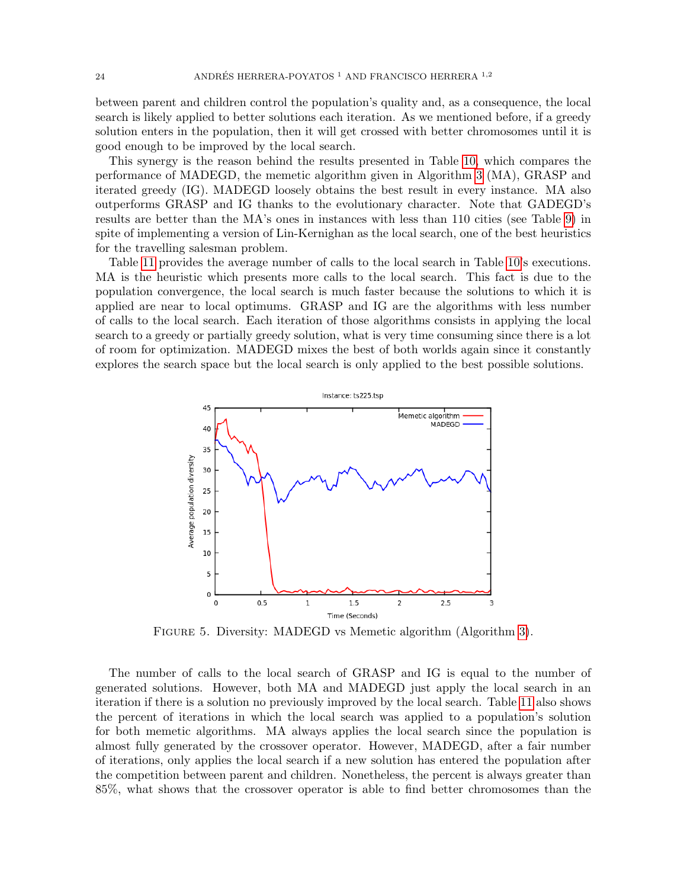between parent and children control the population's quality and, as a consequence, the local search is likely applied to better solutions each iteration. As we mentioned before, if a greedy solution enters in the population, then it will get crossed with better chromosomes until it is good enough to be improved by the local search.

This synergy is the reason behind the results presented in Table [10,](#page-22-1) which compares the performance of MADEGD, the memetic algorithm given in Algorithm [3](#page-3-2) (MA), GRASP and iterated greedy (IG). MADEGD loosely obtains the best result in every instance. MA also outperforms GRASP and IG thanks to the evolutionary character. Note that GADEGD's results are better than the MA's ones in instances with less than 110 cities (see Table [9\)](#page-20-0) in spite of implementing a version of Lin-Kernighan as the local search, one of the best heuristics for the travelling salesman problem.

Table [11](#page-24-1) provides the average number of calls to the local search in Table [10'](#page-22-1)s executions. MA is the heuristic which presents more calls to the local search. This fact is due to the population convergence, the local search is much faster because the solutions to which it is applied are near to local optimums. GRASP and IG are the algorithms with less number of calls to the local search. Each iteration of those algorithms consists in applying the local search to a greedy or partially greedy solution, what is very time consuming since there is a lot of room for optimization. MADEGD mixes the best of both worlds again since it constantly explores the search space but the local search is only applied to the best possible solutions.

![](_page_23_Figure_4.jpeg)

<span id="page-23-0"></span>FIGURE 5. Diversity: MADEGD vs Memetic algorithm (Algorithm [3\)](#page-3-2).

The number of calls to the local search of GRASP and IG is equal to the number of generated solutions. However, both MA and MADEGD just apply the local search in an iteration if there is a solution no previously improved by the local search. Table [11](#page-24-1) also shows the percent of iterations in which the local search was applied to a population's solution for both memetic algorithms. MA always applies the local search since the population is almost fully generated by the crossover operator. However, MADEGD, after a fair number of iterations, only applies the local search if a new solution has entered the population after the competition between parent and children. Nonetheless, the percent is always greater than 85%, what shows that the crossover operator is able to find better chromosomes than the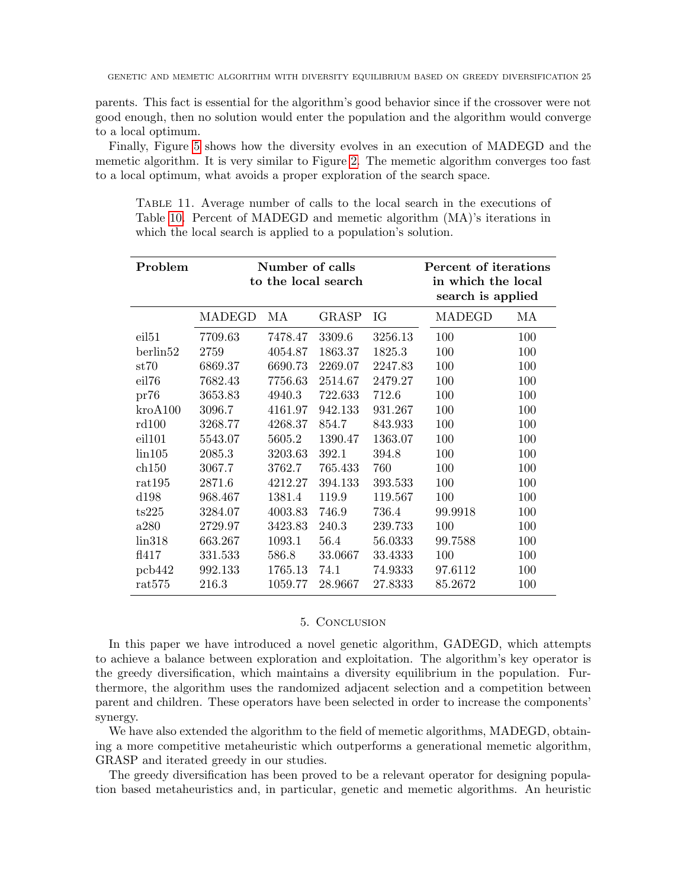parents. This fact is essential for the algorithm's good behavior since if the crossover were not good enough, then no solution would enter the population and the algorithm would converge to a local optimum.

Finally, Figure [5](#page-23-0) shows how the diversity evolves in an execution of MADEGD and the memetic algorithm. It is very similar to Figure [2.](#page-9-2) The memetic algorithm converges too fast to a local optimum, what avoids a proper exploration of the search space.

<span id="page-24-1"></span>Table 11. Average number of calls to the local search in the executions of Table [10.](#page-22-1) Percent of MADEGD and memetic algorithm (MA)'s iterations in which the local search is applied to a population's solution.

| Problem           | Number of calls<br>to the local search |         |         | Percent of iterations<br>in which the local<br>search is applied |         |     |
|-------------------|----------------------------------------|---------|---------|------------------------------------------------------------------|---------|-----|
|                   | MADEGD                                 | МA      | GRASP   | IG                                                               | MADEGD  | МA  |
| eil <sub>51</sub> | 7709.63                                | 7478.47 | 3309.6  | 3256.13                                                          | 100     | 100 |
| berlin52          | 2759                                   | 4054.87 | 1863.37 | 1825.3                                                           | 100     | 100 |
| $\mathrm{st}70$   | 6869.37                                | 6690.73 | 2269.07 | 2247.83                                                          | 100     | 100 |
| eil76             | 7682.43                                | 7756.63 | 2514.67 | 2479.27                                                          | 100     | 100 |
| pr76              | 3653.83                                | 4940.3  | 722.633 | 712.6                                                            | 100     | 100 |
| $k$ ro $A$ 100    | 3096.7                                 | 4161.97 | 942.133 | 931.267                                                          | 100     | 100 |
| rd100             | 3268.77                                | 4268.37 | 854.7   | 843.933                                                          | 100     | 100 |
| eil101            | 5543.07                                | 5605.2  | 1390.47 | 1363.07                                                          | 100     | 100 |
| lin105            | 2085.3                                 | 3203.63 | 392.1   | 394.8                                                            | 100     | 100 |
| $\ch{150}$        | 3067.7                                 | 3762.7  | 765.433 | 760                                                              | 100     | 100 |
| rat195            | 2871.6                                 | 4212.27 | 394.133 | 393.533                                                          | 100     | 100 |
| d198              | 968.467                                | 1381.4  | 119.9   | 119.567                                                          | 100     | 100 |
| ts225             | 3284.07                                | 4003.83 | 746.9   | 736.4                                                            | 99.9918 | 100 |
| a280              | 2729.97                                | 3423.83 | 240.3   | 239.733                                                          | 100     | 100 |
| lin318            | 663.267                                | 1093.1  | 56.4    | 56.0333                                                          | 99.7588 | 100 |
| f1417             | 331.533                                | 586.8   | 33.0667 | 33.4333                                                          | 100     | 100 |
| pcb442            | 992.133                                | 1765.13 | 74.1    | 74.9333                                                          | 97.6112 | 100 |
| rat575            | 216.3                                  | 1059.77 | 28.9667 | 27.8333                                                          | 85.2672 | 100 |

### 5. Conclusion

<span id="page-24-0"></span>In this paper we have introduced a novel genetic algorithm, GADEGD, which attempts to achieve a balance between exploration and exploitation. The algorithm's key operator is the greedy diversification, which maintains a diversity equilibrium in the population. Furthermore, the algorithm uses the randomized adjacent selection and a competition between parent and children. These operators have been selected in order to increase the components' synergy.

We have also extended the algorithm to the field of memetic algorithms, MADEGD, obtaining a more competitive metaheuristic which outperforms a generational memetic algorithm, GRASP and iterated greedy in our studies.

The greedy diversification has been proved to be a relevant operator for designing population based metaheuristics and, in particular, genetic and memetic algorithms. An heuristic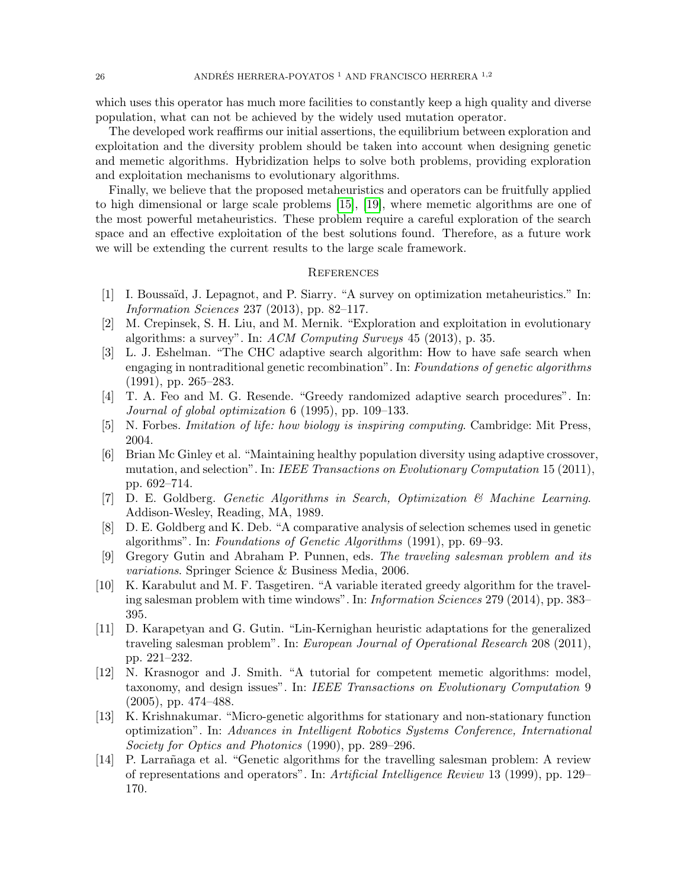which uses this operator has much more facilities to constantly keep a high quality and diverse population, what can not be achieved by the widely used mutation operator.

The developed work reaffirms our initial assertions, the equilibrium between exploration and exploitation and the diversity problem should be taken into account when designing genetic and memetic algorithms. Hybridization helps to solve both problems, providing exploration and exploitation mechanisms to evolutionary algorithms.

Finally, we believe that the proposed metaheuristics and operators can be fruitfully applied to high dimensional or large scale problems [\[15\]](#page-26-14), [\[19\]](#page-26-15), where memetic algorithms are one of the most powerful metaheuristics. These problem require a careful exploration of the search space and an effective exploitation of the best solutions found. Therefore, as a future work we will be extending the current results to the large scale framework.

#### **REFERENCES**

- <span id="page-25-10"></span>[1] I. Boussaïd, J. Lepagnot, and P. Siarry. "A survey on optimization metaheuristics." In: Information Sciences 237 (2013), pp. 82–117.
- <span id="page-25-2"></span>[2] M. Crepinsek, S. H. Liu, and M. Mernik. "Exploration and exploitation in evolutionary algorithms: a survey". In: ACM Computing Surveys 45 (2013), p. 35.
- <span id="page-25-6"></span>[3] L. J. Eshelman. "The CHC adaptive search algorithm: How to have safe search when engaging in nontraditional genetic recombination". In: Foundations of genetic algorithms (1991), pp. 265–283.
- <span id="page-25-8"></span>[4] T. A. Feo and M. G. Resende. "Greedy randomized adaptive search procedures". In: Journal of global optimization 6 (1995), pp. 109–133.
- <span id="page-25-0"></span>[5] N. Forbes. Imitation of life: how biology is inspiring computing. Cambridge: Mit Press, 2004.
- <span id="page-25-3"></span>[6] Brian Mc Ginley et al. "Maintaining healthy population diversity using adaptive crossover, mutation, and selection". In: IEEE Transactions on Evolutionary Computation 15 (2011), pp. 692–714.
- <span id="page-25-1"></span>[7] D. E. Goldberg. Genetic Algorithms in Search, Optimization & Machine Learning. Addison-Wesley, Reading, MA, 1989.
- <span id="page-25-11"></span>[8] D. E. Goldberg and K. Deb. "A comparative analysis of selection schemes used in genetic algorithms". In: Foundations of Genetic Algorithms (1991), pp. 69–93.
- <span id="page-25-5"></span>[9] Gregory Gutin and Abraham P. Punnen, eds. The traveling salesman problem and its variations. Springer Science & Business Media, 2006.
- <span id="page-25-9"></span>[10] K. Karabulut and M. F. Tasgetiren. "A variable iterated greedy algorithm for the traveling salesman problem with time windows". In: Information Sciences 279 (2014), pp. 383– 395.
- <span id="page-25-13"></span>[11] D. Karapetyan and G. Gutin. "Lin-Kernighan heuristic adaptations for the generalized traveling salesman problem". In: European Journal of Operational Research 208 (2011), pp. 221–232.
- <span id="page-25-4"></span>[12] N. Krasnogor and J. Smith. "A tutorial for competent memetic algorithms: model, taxonomy, and design issues". In: IEEE Transactions on Evolutionary Computation 9 (2005), pp. 474–488.
- <span id="page-25-7"></span>[13] K. Krishnakumar. "Micro-genetic algorithms for stationary and non-stationary function optimization". In: Advances in Intelligent Robotics Systems Conference, International Society for Optics and Photonics (1990), pp. 289–296.
- <span id="page-25-12"></span>[14] P. Larrañaga et al. "Genetic algorithms for the travelling salesman problem: A review of representations and operators". In: Artificial Intelligence Review 13 (1999), pp. 129– 170.